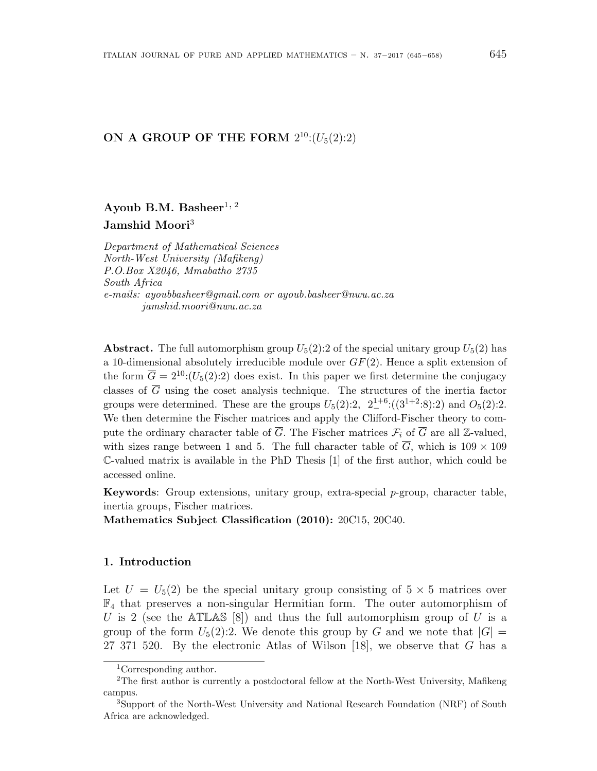# **ON A GROUP OF THE FORM**  $2^{10}$ : $(U_5(2):2)$

Ayoub B.M. Basheer<sup>1, 2</sup> **Jamshid Moori**<sup>3</sup>

*Department of Mathematical Sciences North-West University (Mafikeng) P.O.Box X2046, Mmabatho 2735 South Africa e-mails: ayoubbasheer@gmail.com or ayoub.basheer@nwu.ac.za jamshid.moori@nwu.ac.za*

**Abstract.** The full automorphism group  $U_5(2)$ : 2 of the special unitary group  $U_5(2)$  has a 10-dimensional absolutely irreducible module over *GF*(2)*.* Hence a split extension of the form  $\overline{G} = 2^{10}$ :( $U_5(2)$ :2) does exist. In this paper we first determine the conjugacy classes of  $\overline{G}$  using the coset analysis technique. The structures of the inertia factor groups were determined. These are the groups  $U_5(2):2$ ,  $2^{1+6}_{-}:(3^{1+2}:8):2$  and  $O_5(2):2$ . We then determine the Fischer matrices and apply the Clifford-Fischer theory to compute the ordinary character table of  $\overline{G}$ . The Fischer matrices  $\mathcal{F}_i$  of  $\overline{G}$  are all Z-valued, with sizes range between 1 and 5. The full character table of  $\overline{G}$ , which is 109  $\times$  109 C-valued matrix is available in the PhD Thesis [1] of the first author, which could be accessed online.

**Keywords**: Group extensions, unitary group, extra-special *p*-group, character table, inertia groups, Fischer matrices.

**Mathematics Subject Classification (2010):** 20C15, 20C40.

### **1. Introduction**

Let  $U = U_5(2)$  be the special unitary group consisting of  $5 \times 5$  matrices over  $\mathbb{F}_4$  that preserves a non-singular Hermitian form. The outer automorphism of *U* is 2 (see the ATLAS [8]) and thus the full automorphism group of *U* is a group of the form  $U_5(2)$ :2. We denote this group by *G* and we note that  $|G|$ 27 371 520. By the electronic Atlas of Wilson [18], we observe that *G* has a

<sup>1</sup>Corresponding author.

<sup>2</sup>The first author is currently a postdoctoral fellow at the North-West University, Mafikeng campus.

<sup>3</sup>Support of the North-West University and National Research Foundation (NRF) of South Africa are acknowledged.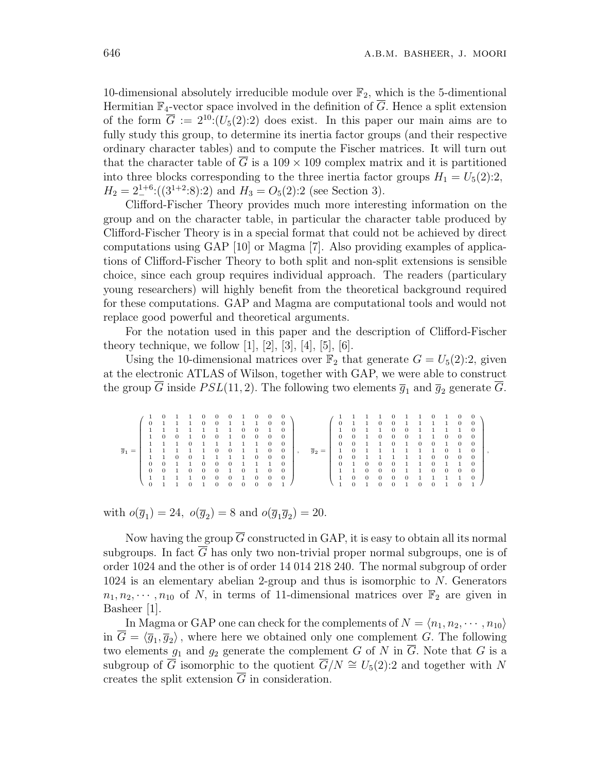10-dimensional absolutely irreducible module over  $\mathbb{F}_2$ , which is the 5-dimentional Hermitian  $\mathbb{F}_4$ -vector space involved in the definition of  $\overline{G}$ . Hence a split extension of the form  $\overline{G} := 2^{10} \cdot (U_5(2):2)$  does exist. In this paper our main aims are to fully study this group, to determine its inertia factor groups (and their respective ordinary character tables) and to compute the Fischer matrices. It will turn out that the character table of  $\overline{G}$  is a 109  $\times$  109 complex matrix and it is partitioned into three blocks corresponding to the three inertia factor groups  $H_1 = U_5(2)$ :2,  $H_2 = 2^{1+6} \cdot ((3^{1+2} \cdot 8) \cdot 2)$  and  $H_3 = O_5(2) \cdot 2$  (see Section 3).

Clifford-Fischer Theory provides much more interesting information on the group and on the character table, in particular the character table produced by Clifford-Fischer Theory is in a special format that could not be achieved by direct computations using GAP [10] or Magma [7]. Also providing examples of applications of Clifford-Fischer Theory to both split and non-split extensions is sensible choice, since each group requires individual approach. The readers (particulary young researchers) will highly benefit from the theoretical background required for these computations. GAP and Magma are computational tools and would not replace good powerful and theoretical arguments.

For the notation used in this paper and the description of Clifford-Fischer theory technique, we follow [1], [2], [3], [4], [5], [6].

Using the 10-dimensional matrices over  $\mathbb{F}_2$  that generate  $G = U_5(2):2$ , given at the electronic ATLAS of Wilson, together with GAP, we were able to construct the group  $\overline{G}$  inside  $PSL(11, 2)$ . The following two elements  $\overline{g}_1$  and  $\overline{g}_2$  generate  $\overline{G}$ .

|                    |              | $\theta$       |                |          | $\theta$ | $\overline{0}$ | $\theta$ | $\mathbf{1}$ | 0              |          |                |         |                    |                |          |          |          | $\Omega$ |          |          | $\theta$       |              |          |          |  |
|--------------------|--------------|----------------|----------------|----------|----------|----------------|----------|--------------|----------------|----------|----------------|---------|--------------------|----------------|----------|----------|----------|----------|----------|----------|----------------|--------------|----------|----------|--|
|                    | $\mathbf{0}$ | $\mathbf{1}$   | $\overline{1}$ |          | $\theta$ | $\theta$       |          |              | $\mathbf{1}$   | $\theta$ |                |         |                    | $\overline{0}$ |          |          | $\Omega$ | $\Omega$ |          |          | $\overline{1}$ | $\mathbf{1}$ | $\Omega$ | $\Omega$ |  |
|                    |              |                |                |          |          |                |          | $\theta$     | $\mathbf{0}$   |          |                |         |                    |                | $\Omega$ |          |          | $\Omega$ | 0        |          |                |              |          |          |  |
|                    | $\mathbf{1}$ | $\overline{0}$ | $\theta$       |          | $\Omega$ | $\Omega$       | 1        | $\theta$     | $\overline{0}$ | 0        |                |         |                    | $\overline{0}$ | $\theta$ |          | $\Omega$ | 0        | $\theta$ |          |                | $\Omega$     | $\theta$ | $\Omega$ |  |
|                    |              | $\blacksquare$ |                | $\Omega$ |          |                |          | $\mathbf{1}$ | $\mathbf{1}$   | $\Omega$ |                |         |                    | $\mathbf{0}$   | $\Omega$ |          |          | $\Omega$ |          | $\Omega$ | $\Omega$       |              | $\Omega$ | $\Omega$ |  |
| $\overline{g}_1 =$ | 1.           |                |                |          |          | $\theta$       | $\theta$ |              | $\mathbf{1}$   | $\theta$ |                | $\cdot$ | $\overline{g}_2 =$ | $\mathbf{1}$   | $\theta$ |          |          |          |          |          | $\mathbf{1}$   | $\Omega$     |          | $\Omega$ |  |
|                    |              |                |                | 0        |          |                |          |              | $\overline{0}$ | $\Omega$ |                |         |                    | $\overline{0}$ | $\Omega$ |          |          |          |          |          | $\Omega$       | $\theta$     | 0        | $\Omega$ |  |
|                    | $\Omega$     | $\Omega$       |                |          | $\theta$ | $\theta$       | $\Omega$ |              |                |          |                |         |                    | $\Omega$       |          | $\theta$ | $\Omega$ | $\Omega$ |          |          | $\theta$       |              |          |          |  |
|                    | $\theta$     | $\Omega$       |                | 0        | $\theta$ | $\theta$       |          | $\mathbf{0}$ |                | 0        |                |         |                    |                |          | 0        |          | 0        |          |          | $\Omega$       | $\Omega$     | $\Omega$ | $\Omega$ |  |
|                    |              |                |                |          | $\Omega$ | $\theta$       | 0        |              | $\theta$       | $\theta$ | $\overline{0}$ |         |                    |                | $\theta$ | $\theta$ | $\theta$ | 0        | 0        |          |                |              |          | $\Omega$ |  |
|                    | $\Omega$     |                |                |          |          | $\Omega$       | $\Omega$ | $\theta$     | $\Omega$       | 0        |                |         |                    |                | 0        |          |          | 0        |          |          | 0              |              |          |          |  |

with  $o(\bar{g}_1) = 24$ ,  $o(\bar{g}_2) = 8$  and  $o(\bar{g}_1 \bar{g}_2) = 20$ .

Now having the group  $\overline{G}$  constructed in GAP, it is easy to obtain all its normal subgroups. In fact  $\overline{G}$  has only two non-trivial proper normal subgroups, one is of order 1024 and the other is of order 14 014 218 240. The normal subgroup of order 1024 is an elementary abelian 2-group and thus is isomorphic to *N.* Generators  $n_1, n_2, \dots, n_{10}$  of *N*, in terms of 11-dimensional matrices over  $\mathbb{F}_2$  are given in Basheer [1].

In Magma or GAP one can check for the complements of  $N = \langle n_1, n_2, \cdots, n_{10} \rangle$ in  $G = \langle \overline{g}_1, \overline{g}_2 \rangle$ , where here we obtained only one complement *G*. The following two elements  $g_1$  and  $g_2$  generate the complement *G* of *N* in  $\overline{G}$ . Note that *G* is a subgroup of  $\overline{G}$  isomorphic to the quotient  $\overline{G}/N \cong U_5(2):2$  and together with *N* creates the split extension  $\overline{G}$  in consideration.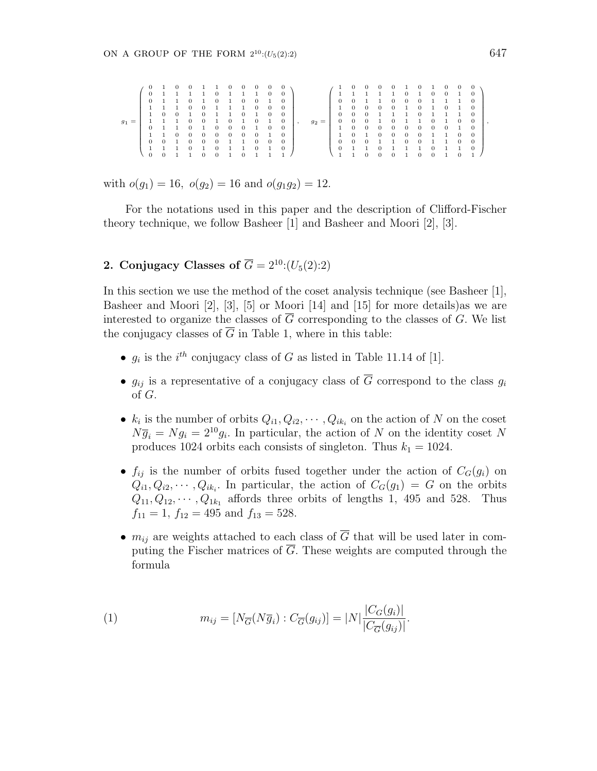|           | $\theta$     | $\mathbf{1}$        | -0             | $\Omega$       |              | 1.             | $\mathbf{0}$   | $\sim$ 0       | $\mathbf{0}$   | 0            |          |         | $\leftarrow 1$ | $\overline{0}$ | $\sim$ 0       | 0              | $\theta$       |                | $\theta$     |                | 0              | $\theta$       |            |  |
|-----------|--------------|---------------------|----------------|----------------|--------------|----------------|----------------|----------------|----------------|--------------|----------|---------|----------------|----------------|----------------|----------------|----------------|----------------|--------------|----------------|----------------|----------------|------------|--|
|           |              | $0 \t1 \t1$         |                | $1\quad1$      |              | $\overline{0}$ | $\mathbf{1}$   | $\mathbf{1}$   | $\mathbf{1}$   | $\theta$     | $\Omega$ |         |                | $1 \quad 1$    | $\mathbf{1}$   |                | -1             | $\Omega$       | $\mathbf{1}$ | $\theta$       | $\Omega$       |                |            |  |
|           |              | $0 \t 1 \t 1$       |                | $\overline{0}$ | $\mathbf{1}$ | $\overline{0}$ | $\mathbf{1}$   | $\overline{0}$ | $\overline{0}$ |              |          |         | $\overline{0}$ | $\overline{0}$ | $\mathbf{1}$   | $\overline{1}$ | $\theta$       | $\overline{0}$ | $\Omega$     | $\blacksquare$ | $\mathbf{1}$   |                |            |  |
|           |              |                     |                | $\Omega$       | $\Omega$     |                |                | 1              | $\overline{0}$ | $\theta$     | $\Omega$ |         | $\mathbf{1}$   | $\overline{0}$ | $\mathbf{0}$   | $\theta$       | $\overline{0}$ | $\mathbf{1}$   | $\theta$     |                | $\Omega$       |                |            |  |
|           | $\mathbf{1}$ | $\Omega$            | $\overline{0}$ |                | $\Omega$     | $\mathbf{1}$   | $\overline{1}$ | $\overline{0}$ | $\mathbf{1}$   | $\Omega$     | $\Omega$ |         | $\overline{0}$ | $\overline{0}$ | $\Omega$       |                | $\mathbf{1}$   | $\sim$ 1       | $\Omega$     |                | $\overline{1}$ |                | $^{\circ}$ |  |
| $=$<br>91 | $\mathbf{1}$ |                     |                | $\theta$       |              |                | $\theta$       |                | $\overline{0}$ |              | $\theta$ | $g_2 =$ | $\mathbf{0}$   | $\overline{0}$ | $\overline{0}$ |                | $\theta$       |                |              | $\theta$       | <sup>1</sup>   | $\theta$       | 0          |  |
|           |              | $0\quad1$           |                | $\theta$       |              | $\Omega$       | $\Omega$       | $\theta$       | $\mathbf{1}$   | $\theta$     | $\Omega$ |         | $\mathbf{1}$   | $\overline{0}$ | $\overline{0}$ | $\theta$       | $\theta$       | $\overline{0}$ | $\theta$     | $\overline{0}$ | $\overline{0}$ |                |            |  |
|           |              |                     | $\theta$       | $\theta$       | $\theta$     | $\theta$       | $\theta$       | $\theta$       | $\overline{0}$ |              | $\Omega$ |         |                | $\Omega$       |                | $\Omega$       | $\Omega$       | $\theta$       | $\Omega$     |                |                | $\Omega$       | $^{\circ}$ |  |
|           |              | $0 \quad 0 \quad 1$ |                | $\Omega$       | $\theta$     | $\overline{0}$ |                | 1              | $\overline{0}$ | $\theta$     | $\Omega$ |         |                | $0 \quad 0$    | $\mathbf{0}$   |                |                | $\overline{0}$ | $\theta$     |                | $\mathbf{1}$   | $\overline{0}$ | $^{\circ}$ |  |
|           |              |                     |                | $\theta$       | -1.          | $\Omega$       |                |                | $\Omega$       | $\mathbf{1}$ | $\Omega$ |         |                | $0 \quad 1$    |                | $\Omega$       |                | $\mathbf{1}$   |              | $\Omega$       |                |                | $\Omega$   |  |
|           |              |                     |                |                |              | $\Omega$       |                | $\theta$       |                |              |          |         |                |                | $^{\circ}$     | $^{\circ}$     |                |                | $\Omega$     | $\Omega$       |                |                |            |  |

with  $o(g_1) = 16$ ,  $o(g_2) = 16$  and  $o(g_1g_2) = 12$ .

For the notations used in this paper and the description of Clifford-Fischer theory technique, we follow Basheer [1] and Basheer and Moori [2], [3].

### **2. Conjugacy Classes of**  $\overline{G} = 2^{10}$ :( $U_5(2)$ :2)

In this section we use the method of the coset analysis technique (see Basheer [1], Basheer and Moori [2], [3], [5] or Moori [14] and [15] for more details)as we are interested to organize the classes of  $\overline{G}$  corresponding to the classes of *G*. We list the conjugacy classes of  $\overline{G}$  in Table 1, where in this table:

- $g_i$  is the  $i^{th}$  conjugacy class of *G* as listed in Table 11.14 of [1].
- $g_{ij}$  is a representative of a conjugacy class of  $\overline{G}$  correspond to the class  $g_i$ of *G.*
- $k_i$  is the number of orbits  $Q_{i1}, Q_{i2}, \cdots, Q_{ik_i}$  on the action of *N* on the coset  $N\overline{g}_i = Ng_i = 2^{10}g_i$ . In particular, the action of *N* on the identity coset *N* produces 1024 orbits each consists of singleton. Thus  $k_1 = 1024$ .
- $f_{ij}$  is the number of orbits fused together under the action of  $C_G(g_i)$  on  $Q_{i1}, Q_{i2}, \cdots, Q_{ik_i}$ . In particular, the action of  $C_G(g_1) = G$  on the orbits  $Q_{11}, Q_{12}, \cdots, Q_{1k_1}$  affords three orbits of lengths 1, 495 and 528. Thus  $f_{11} = 1, f_{12} = 495 \text{ and } f_{13} = 528.$
- $m_{ij}$  are weights attached to each class of  $\overline{G}$  that will be used later in computing the Fischer matrices of  $\overline{G}$ . These weights are computed through the formula

(1) 
$$
m_{ij} = [N_{\overline{G}}(N\overline{g}_i) : C_{\overline{G}}(g_{ij})] = |N| \frac{|C_G(g_i)|}{|C_{\overline{G}}(g_{ij})|}.
$$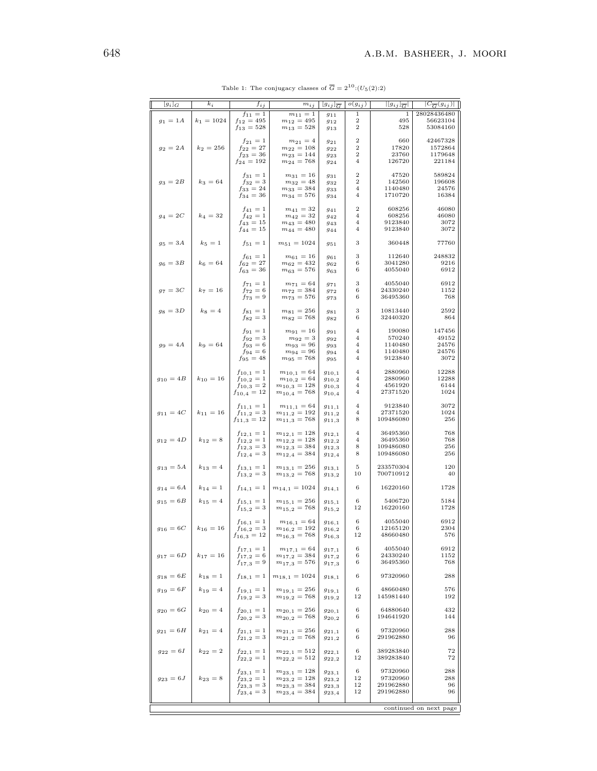| $[g_i]_G$       | $k_i$         | $f_{ij}$                         | $m_{ij}$                             | $ g_{ij} _{\overline{G}}$   | $o(g_{ij})$ | $  g_{ij}  _{\overline{G}} $ | $ C_{\overline{G}}(g_{ij}) $ |
|-----------------|---------------|----------------------------------|--------------------------------------|-----------------------------|-------------|------------------------------|------------------------------|
|                 |               | $f_{11} = 1$                     | $m_{11} = 1$                         | 911                         | 1           | 1                            | 28028436480                  |
| $g_1 = 1A$      | $k_1 = 1024$  | $f_{12} = 495$<br>$f_{13} = 528$ | $m_{12} = 495$<br>$m_{13} = 528$     | 912                         | 2<br>2      | 495<br>528                   | 56623104<br>53084160         |
|                 |               |                                  |                                      | 913                         |             |                              |                              |
|                 |               | $f_{21}=1$                       | $m_{21}=4$                           | 921                         | 2           | 660                          | 42467328                     |
| $g_2 = 2A$      | $k_2 = 256$   | $f_{22} = 27$                    | $m_{22}=108$                         | 922                         | 2<br>2      | 17820<br>23760               | 1572864<br>1179648           |
|                 |               | $f_{23} = 36$<br>$f_{24} = 192$  | $m_{23} = 144$<br>$m_{24} = 768$     | 923<br>924                  | 4           | 126720                       | 221184                       |
|                 |               |                                  |                                      |                             |             |                              |                              |
| $g_3 = 2B$      | $k_3 = 64$    | $f_{31} = 1$                     | $m_{31} = 16$                        | 931                         | 2<br>2      | 47520<br>142560              | 589824<br>196608             |
|                 |               | $f_{32} = 3$<br>$f_{33} = 24$    | $m_{32} = 48$<br>$m_{33} = 384$      | 932<br>933                  | 4           | 1140480                      | 24576                        |
|                 |               | $f_{34} = 36$                    | $m_{34} = 576$                       | 934                         | 4           | 1710720                      | 16384                        |
|                 |               | $f_{41} = 1$                     | $m_{41} = 32$                        |                             | 2           | 608256                       | 46080                        |
| $g_4=2C$        | $k_4 = 32$    | $f_{42}=1$                       | $m_{42} = 32$                        | 941<br>942                  | 4           | 608256                       | 46080                        |
|                 |               | $f_{43} = 15$                    | $m_{43} = 480$                       | 943                         | 4           | 9123840                      | 3072                         |
|                 |               | $f_{44} = 15$                    | $m_{44} = 480$                       | 944                         | 4           | 9123840                      | 3072                         |
| $g_5 = 3A$      | $k_5 = 1$     | $f_{51} = 1$                     | $m_{51} = 1024$                      | 951                         | 3           | 360448                       | 77760                        |
|                 |               |                                  |                                      |                             |             |                              |                              |
| $g_6 = 3B$      | $k_6 = 64$    | $f_{61} = 1$<br>$f_{62} = 27$    | $m_{61} = 16$<br>$m_{62} = 432$      | 961                         | 3<br>6      | 112640<br>3041280            | 248832<br>9216               |
|                 |               | $f_{63} = 36$                    | $m_{63} = 576$                       | 962<br>963                  | 6           | 4055040                      | 6912                         |
|                 |               |                                  |                                      |                             |             |                              |                              |
| $g_7 = 3C$      | $k_7 = 16$    | $f_{71} = 1$                     | $m_{71} = 64$<br>$m_{72} = 384$      | 971                         | 3<br>6      | 4055040<br>24330240          | 6912<br>1152                 |
|                 |               | $f_{72}=6$<br>$f_{73} = 9$       | $m_{73} = 576$                       | 972<br>973                  | 6           | 36495360                     | 768                          |
|                 |               |                                  |                                      |                             |             |                              |                              |
| $g_8 = 3D$      | $k_8 = 4$     | $f_{81} = 1$                     | $m_{81} = 256$                       | 981                         | 3           | 10813440<br>32440320         | 2592                         |
|                 |               | $f_{82} = 3$                     | $m_{82} = 768$                       | 982                         | 6           |                              | 864                          |
|                 |               | $f_{91} = 1$                     | $m_{91} = 16$                        | 991                         | 4           | 190080                       | 147456                       |
| $g_9 = 4A$      | $k_9 = 64$    | $f_{92} = 3$                     | $m_{92} = 3$                         | 992                         | 4<br>4      | 570240                       | 49152                        |
|                 |               | $f_{93} = 6$<br>$f_{94} = 6$     | $m_{93} = 96$<br>$m_{94} = 96$       | 993<br>994                  | 4           | 1140480<br>1140480           | 24576<br>24576               |
|                 |               | $f_{95} = 48$                    | $m_{95} = 768$                       | 995                         | 4           | 9123840                      | 3072                         |
|                 |               |                                  |                                      |                             | 4           | 2880960                      | 12288                        |
| $g_{10} = 4B$   | $k_{10} = 16$ | $f_{10,1}=1$<br>$f_{10,2}=1$     | $m_{10,1} = 64$<br>$m_{10,2} = 64$   | $g_{10,1}$<br>$_{g_{10,2}}$ | 4           | 2880960                      | 12288                        |
|                 |               | $f_{10,3} = 2$                   | $m_{10,3} = 128$                     | 910,3                       | 4           | 4561920                      | 6144                         |
|                 |               | $f_{10,4} = 12$                  | $m_{10,4} = 768$                     | 910,4                       | 4           | 27371520                     | 1024                         |
|                 |               | $f_{11,1}=1$                     | $m_{11,1} = 64$                      | $g_{11,1}$                  | 4           | 9123840                      | 3072                         |
| $g_{11} = 4C$   | $k_{11} = 16$ | $f_{11,2}=3$                     | $m_{11,2} = 192$                     | 911,2                       | 4           | 27371520                     | 1024                         |
|                 |               | $f_{11,3} = 12$                  | $m_{11,3} = 768$                     | $g_{11,3}$                  | 8           | 109486080                    | 256                          |
|                 |               | $f_{12,1}=1$                     | $m_{12,1} = 128$                     | 912,1                       | 4           | 36495360                     | 768                          |
| $g_{12} = 4D$   | $k_{12} = 8$  | $f_{12,2}=1$                     | $m_{12,2}=128$                       | $g_{12,2}$                  | 4           | 36495360                     | 768                          |
|                 |               | $f_{12,3} = 3$                   | $m_{12,3} = 384$                     | 912,3                       | 8           | 109486080                    | 256                          |
|                 |               | $f_{12,4} = 3$                   | $m_{12,4} = 384$                     | $_{g_{12,4}}$               | 8           | 109486080                    | 256                          |
| $g_{13} = 5A$   | $k_{13} = 4$  | $f_{13,1}=1$                     | $m_{13,1} = 256$                     | 913,1                       | 5           | 233570304                    | 120                          |
|                 |               | $f_{13,2}=3$                     | $m_{13,2} = 768$                     | 913,2                       | 10          | 700710912                    | 40                           |
| $g_{14} = 6A$   | $k_{14} = 1$  | $f_{14,1}=1$                     | $m_{14,1} = 1024$                    | 914,1                       | 6           | 16220160                     | 1728                         |
|                 |               |                                  |                                      |                             |             |                              |                              |
| $g_{15} = 6B$   | $k_{15} = 4$  | $f_{15,1}=1$<br>$f_{15,2}=3$     | $m_{15,1} = 256$<br>$m_{15,2} = 768$ | $g_{15,1}$<br>$g_{15,2}$    | 6<br>12     | 5406720<br>16220160          | 5184<br>1728                 |
|                 |               |                                  |                                      |                             |             |                              |                              |
|                 |               | $f_{16,1} = 1$                   | $m_{16,1} = 64$                      | 916,1                       | 6           | 4055040                      | 6912                         |
| $g_{16} = 6C$   | $k_{16} = 16$ | $f_{16,2}=3$<br>$f_{16,3} = 12$  | $m_{16,2}=192$<br>$m_{16,3} = 768$   | 916,2<br>$_{g16,3}$         | 6<br>12     | 12165120<br>48660480         | 2304<br>576                  |
|                 |               |                                  |                                      |                             |             |                              |                              |
|                 |               | $f_{17,1}=1$                     | $m_{17,1} = 64$                      | 917,1                       | 6           | 4055040<br>24330240          | 6912                         |
| $g_{17}\,=\,6D$ | $k_{17} = 16$ | $f_{17,2}=6$<br>$f_{17,3} = 9$   | $m_{17,2} = 384$<br>$m_{17,3} = 576$ | $g_{17,2}$<br>$g_{17,3}$    | 6<br>6      | 36495360                     | 1152<br>768                  |
|                 |               |                                  |                                      |                             |             |                              |                              |
| $g_{18} = 6E$   | $k_{18} = 1$  | $f_{18,1}=1$                     | $m_{18,1} = 1024$                    | $g_{18,1}$                  | 6           | 97320960                     | 288                          |
| $g_{19} = 6F$   | $k_{19} = 4$  | $f_{19,1} = 1$                   | $m_{19,1} = 256$                     | $g_{19,1}$                  | 6           | 48660480                     | 576                          |
|                 |               | $f_{19,2}=3$                     | $m_{19,2} = 768$                     | $g_{19,2}$                  | 12          | 145981440                    | 192                          |
| $g_{\rm 20}=6G$ | $k_{20} = 4$  | $f_{20,1}=1$                     | $m_{20,1} = 256$                     | 920,1                       | 6           | 64880640                     | 432                          |
|                 |               | $f_{20,2}=3$                     | $m_{20,2}=768$                       | 920,2                       | 6           | 194641920                    | 144                          |
|                 |               |                                  |                                      |                             |             |                              | 288                          |
| $g_{21} = 6H$   | $k_{21} = 4$  | $f_{21,1}=1$<br>$f_{21,2}=3$     | $m_{21,1} = 256$<br>$m_{21,2} = 768$ | $g_{21,1}$<br>$g_{21,2}$    | 6<br>6      | 97320960<br>291962880        | 96                           |
|                 |               |                                  |                                      |                             |             |                              |                              |
| $g_{22}\,=\,6I$ | $k_{22}=2$    | $f_{22,1}=1$                     | $m_{22,1} = 512$                     | 922,1                       | 6<br>12     | 389283840<br>389283840       | 72<br>72                     |
|                 |               | $f_{22,2}=1$                     | $m_{22,2}=512$                       | $g_{22,2}$                  |             |                              |                              |
|                 |               | $f_{23,1}=1$                     | $m_{23,1} = 128$                     | 923,1                       | 6           | 97320960                     | 288                          |
| $g_{23} = 6J$   | $k_{23} = 8$  | $f_{23,2}=1$                     | $m_{23,2}=128$                       | 923,2                       | 12          | 97320960                     | 288                          |
|                 |               | $f_{23,3}=3$<br>$f_{23,4}=3$     | $m_{23,3} = 384$<br>$m_{23,4} = 384$ | 923,3<br>923,4              | 12<br>12    | 291962880<br>291962880       | 96<br>96                     |
|                 |               |                                  |                                      |                             |             |                              |                              |
|                 |               |                                  |                                      |                             |             |                              | continued on next page       |

Table 1: The conjugacy classes of  $\overline{G} = 2^{10}$ :(*U*<sub>5</sub>(2):2)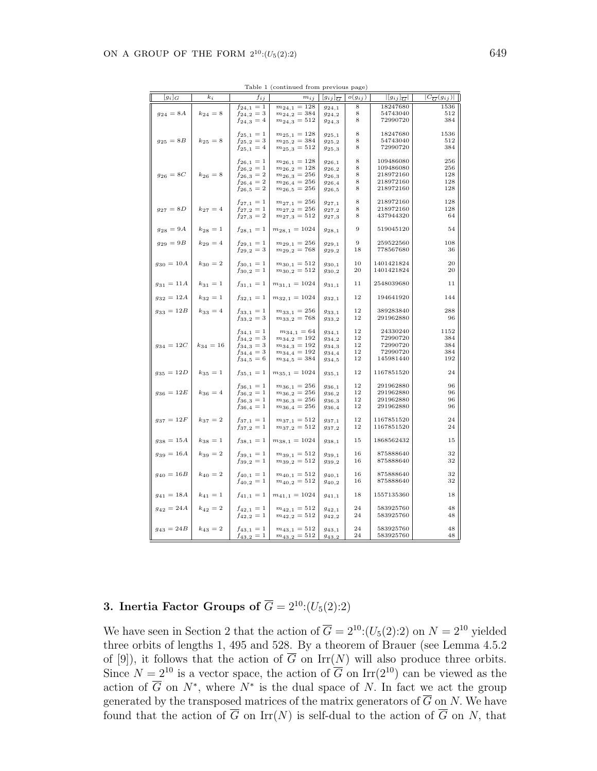|                     |               | ranie r        | (continued from previous page) |                           |             |                                                          |                              |
|---------------------|---------------|----------------|--------------------------------|---------------------------|-------------|----------------------------------------------------------|------------------------------|
| $[g_i]_G$           | $k_i$         | $f_{ij}$       | $m_{ij}$                       | $ g_{ij} _{\overline{G}}$ | $o(g_{ij})$ | $\left \left g_{ij}\right \right _{\overline{G}}\right $ | $ C_{\overline{G}}(g_{ij}) $ |
|                     |               | $f_{24,1}=1$   | $m_{24,1} = 128$               | 924,1                     | 8           | 18247680                                                 | 1536                         |
| $g_{\rm 24}$ = $8A$ | $k_{24} = 8$  | $f_{24,2}=3$   | $m_{24,2} = 384$               | 924,2                     | 8           | 54743040                                                 | 512                          |
|                     |               | $f_{24,3} = 4$ | $m_{24,3}=512$                 | 924,3                     | 8           | 72990720                                                 | 384                          |
|                     |               |                |                                |                           |             |                                                          |                              |
|                     |               | $f_{25,1}=1$   | $m_{25,1} = 128$               | 925,1                     | 8           | 18247680                                                 | 1536                         |
| $g_{25} = 8B$       | $k_{25} = 8$  | $f_{25,2}=3$   | $m_{25,2} = 384$               | 925,2                     | 8           | 54743040                                                 | 512                          |
|                     |               | $f_{25,1} = 4$ | $m_{25,3} = 512$               | 925,3                     | 8           | 72990720                                                 | 384                          |
|                     |               |                |                                |                           |             |                                                          |                              |
|                     |               | $f_{26,1}=1$   | $m_{26,1} = 128$               | 926,1                     | 8           | 109486080                                                | 256                          |
|                     |               | $f_{26,2}=1$   | $m_{26,2}=128$                 | 926,2                     | 8           | 109486080                                                | 256                          |
| $g_{26} = 8C$       | $k_{26} = 8$  | $f_{26,3} = 2$ | $m_{26,3} = 256$               | 926,3                     | 8           | 218972160                                                | 128                          |
|                     |               | $f_{26,4}=2$   | $m_{26,4} = 256$               | 926,4                     | 8           | 218972160                                                | 128                          |
|                     |               | $f_{26,5} = 2$ | $m_{26,5} = 256$               | 926,5                     | 8           | 218972160                                                | 128                          |
|                     |               |                |                                |                           |             |                                                          |                              |
|                     |               | $f_{27,1}=1$   | $m_{27,1} = 256$               | 927,1                     | 8           | 218972160                                                | 128                          |
| $g_{27} = 8D$       | $k_{27} = 4$  | $f_{27,2}=1$   | $m_{27,2}=256$                 | $g_{27,2}$                | 8           | 218972160                                                | 128                          |
|                     |               | $f_{27,3} = 2$ | $m_{27,3} = 512$               | 927,3                     | 8           | 437944320                                                | 64                           |
|                     |               |                |                                |                           |             |                                                          |                              |
| $g_{28} = 9A$       | $k_{28} = 1$  | $f_{28,1}=1$   | $m_{28,1} = 1024$              | 928,1                     | 9           | 519045120                                                | 54                           |
|                     |               |                |                                |                           |             |                                                          |                              |
| $g_{29} = 9B$       | $k_{29} = 4$  | $f_{29,1}=1$   | $m_{29,1} = 256$               | 929,1                     | 9           | 259522560                                                | 108                          |
|                     |               | $f_{29,2}=3$   | $m_{29,2} = 768$               | $g_{29,2}$                | 18          | 778567680                                                | 36                           |
|                     |               |                |                                |                           |             |                                                          |                              |
| $g_{30} = 10A$      | $k_{30} = 2$  | $f_{30,1}=1$   | $m_{30,1} = 512$               | 930,1                     | 10          | 1401421824                                               | 20                           |
|                     |               | $f_{30,2}=1$   | $m_{30,2}=512$                 | 930,2                     | 20          | 1401421824                                               | 20                           |
|                     |               |                |                                |                           |             |                                                          |                              |
| $g_{31} = 11A$      | $k_{31} = 1$  | $f_{31,1}=1$   | $m_{31,1} = 1024$              | 931,1                     | 11          | 2548039680                                               | 11                           |
|                     |               |                |                                |                           |             |                                                          |                              |
| $g_{32} = 12A$      | $k_{32} = 1$  | $f_{32,1}=1$   | $m_{32,1} = 1024$              | 932,1                     | 12          | 194641920                                                | 144                          |
|                     |               |                |                                |                           |             |                                                          |                              |
| $g_{33} = 12B$      | $k_{33} = 4$  | $f_{33,1}=1$   | $m_{33,1} = 256$               | 933,1                     | 12          | 389283840                                                | 288                          |
|                     |               | $f_{33,2}=3$   | $m_{33,2} = 768$               | 933,2                     | 12          | 291962880                                                | 96                           |
|                     |               |                |                                |                           |             |                                                          |                              |
|                     |               | $f_{34,1}=1$   | $m_{34,1} = 64$                | 934,1                     | 12          | 24330240                                                 | 1152                         |
|                     |               | $f_{34,2}=3$   | $m_{34,2}=192$                 | 934,2                     | 12          | 72990720                                                 | 384                          |
| $g_{34} = 12C$      | $k_{34} = 16$ | $f_{34,3} = 3$ | $m_{34,3} = 192$               | 934,3                     | 12          | 72990720                                                 | 384                          |
|                     |               | $f_{34,4} = 3$ | $m_{34,4} = 192$               | 934,4                     | 12          | 72990720                                                 | 384                          |
|                     |               | $f_{34,5}=6$   | $m_{34,5} = 384$               | 934,5                     | 12          | 145981440                                                | 192                          |
|                     |               |                |                                |                           |             |                                                          |                              |
| $g_{35} = 12D$      | $k_{35} = 1$  | $f_{35,1}=1$   | $m_{35,1} = 1024$              | 935,1                     | 12          | 1167851520                                               | 24                           |
|                     |               |                |                                |                           |             |                                                          |                              |
|                     |               | $f_{36,1}=1$   | $m_{36,1} = 256$               | 936,1                     | 12          | 291962880                                                | 96                           |
| $g_{36} = 12E$      | $k_{36} = 4$  | $f_{36,2}=1$   | $m_{36,2}=256$                 | 936,2                     | 12          | 291962880                                                | 96                           |
|                     |               | $f_{36,3}=1$   | $m_{36,3} = 256$               | 936,3                     | 12          | 291962880                                                | 96                           |
|                     |               | $f_{36,4}=1$   | $m_{36,4} = 256$               | 936,4                     | 12          | 291962880                                                | 96                           |
|                     |               |                |                                |                           |             |                                                          |                              |
| $g_{37} = 12F$      | $k_{37} = 2$  | $f_{37,1} = 1$ | $m_{37,1} = 512$               | 937,1                     | $12\,$      | 1167851520                                               | 24                           |
|                     |               | $f_{37,2}=1$   | $m_{37,2}=512$                 | 937,2                     | 12          | 1167851520                                               | 24                           |
|                     |               |                |                                |                           |             |                                                          |                              |
| $g_{38} = 15A$      | $k_{38} = 1$  | $f_{38,1} = 1$ | $m_{38,1} = 1024$              | 938,1                     | 15          | 1868562432                                               | 15                           |
|                     |               |                |                                |                           |             |                                                          |                              |
| $g_{39} = 16A$      | $k_{39} = 2$  | $f_{39,1} = 1$ | $m_{39,1} = 512$               | 939,1                     | 16          | 875888640                                                | 32                           |
|                     |               | $f_{39,2}=1$   | $m_{39,2}=512$                 | 939,2                     | 16          | 875888640                                                | 32                           |
|                     |               |                |                                |                           |             |                                                          |                              |
| $g_{40} = 16B$      | $k_{40} = 2$  | $f_{40,1} = 1$ | $m_{40,1} = 512$               | 940,1                     | 16          | 875888640                                                | $^{\rm 32}$<br>32            |
|                     |               | $f_{40,2}=1$   | $m_{40,2}=512$                 | 940,2                     | 16          | 875888640                                                |                              |
|                     |               |                |                                |                           |             |                                                          |                              |
| $g_{41} = 18A$      | $k_{41} = 1$  | $f_{41,1} = 1$ | $m_{41,1} = 1024$              | 941,1                     | 18          | 1557135360                                               | 18                           |
|                     |               |                |                                |                           |             |                                                          | 48                           |
| $g_{42} = 24A$      | $k_{42} = 2$  | $f_{42,1}=1$   | $m_{42,1} = 512$               | 942,1                     | 24          | 583925760                                                |                              |
|                     |               | $f_{42,2}=1$   | $m_{42,2}=512$                 | 942,2                     | 24          | 583925760                                                | 48                           |
|                     |               |                |                                |                           | 24          | 583925760                                                | 48                           |
| $g_{43} = 24B$      | $k_{43} = 2$  | $f_{43,1}=1$   | $m_{43,1} = 512$               | 943,1                     | 24          | 583925760                                                | 48                           |
|                     |               | $f_{43,2}=1$   | $m_{43,2} = 512$               | 943,2                     |             |                                                          |                              |

Table 1 (continued from previous page)

# **3. Inertia Factor Groups of**  $\overline{G} = 2^{10}$ :(*U*<sub>5</sub>(2):2)

We have seen in Section 2 that the action of  $\overline{G} = 2^{10}$ :  $(U_5(2):2)$  on  $N = 2^{10}$  yielded three orbits of lengths 1, 495 and 528. By a theorem of Brauer (see Lemma 4.5.2 of [9]), it follows that the action of  $\overline{G}$  on  $\text{Irr}(N)$  will also produce three orbits. Since  $N = 2^{10}$  is a vector space, the action of  $\overline{G}$  on Irr(2<sup>10</sup>) can be viewed as the action of *G* on  $N^*$ , where  $N^*$  is the dual space of *N*. In fact we act the group generated by the transposed matrices of the matrix generators of  $\overline{G}$  on *N*. We have found that the action of  $\overline{G}$  on Irr(*N*) is self-dual to the action of  $\overline{G}$  on *N*, that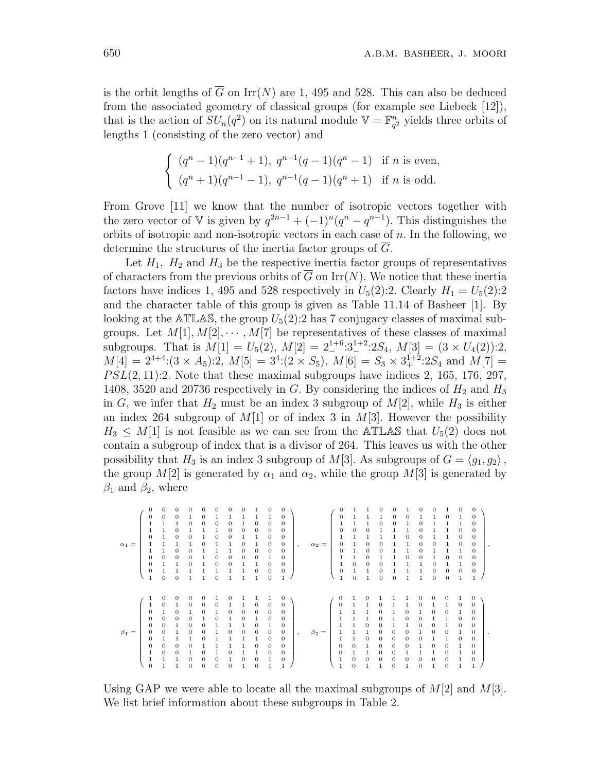is the orbit lengths of  $\overline{G}$  on Irr(*N*) are 1, 495 and 528. This can also be deduced from the associated geometry of classical groups (for example see Liebeck [12]), that is the action of  $SU_n(q^2)$  on its natural module  $\mathbb{V} = \mathbb{F}_{q^2}^n$  $q<sup>2</sup>$  yields three orbits of lengths 1 (consisting of the zero vector) and

$$
\begin{cases} (q^{n} - 1)(q^{n-1} + 1), q^{n-1}(q - 1)(q^{n} - 1) & \text{if } n \text{ is even,} \\ (q^{n} + 1)(q^{n-1} - 1), q^{n-1}(q - 1)(q^{n} + 1) & \text{if } n \text{ is odd.} \end{cases}
$$

From Grove [11] we know that the number of isotropic vectors together with the zero vector of V is given by  $q^{2n-1} + (-1)^n(q^n - q^{n-1})$ . This distinguishes the orbits of isotropic and non-isotropic vectors in each case of *n.* In the following, we determine the structures of the inertia factor groups of *G.*

Let  $H_1$ ,  $H_2$  and  $H_3$  be the respective inertia factor groups of representatives of characters from the previous orbits of  $\overline{G}$  on Irr(*N*). We notice that these inertia factors have indices 1, 495 and 528 respectively in  $U_5(2):2$ . Clearly  $H_1 = U_5(2):2$ and the character table of this group is given as Table 11.14 of Basheer [1]. By looking at the  $\text{ATLAS}$ , the group  $U_5(2)$ :2 has 7 conjugacy classes of maximal subgroups. Let  $M[1], M[2], \cdots, M[7]$  be representatives of these classes of maximal subgroups. That is  $M[1] = U_5(2)$ ,  $M[2] = 2^{1+6} \cdot 3^{1+2} \cdot 2S_4$ ,  $M[3] = (3 \times U_4(2)) \cdot 2$ ,  $M[4] = 2^{4+4}:(3 \times A_5):2, M[5] = 3^4:(2 \times S_5), M[6] = S_3 \times 3_+^{1+2}:2S_4 \text{ and } M[7] =$ *P SL*(2*,* 11):2*.* Note that these maximal subgroups have indices 2, 165, 176, 297, 1408, 3520 and 20736 respectively in  $G$ . By considering the indices of  $H_2$  and  $H_3$ in *G*, we infer that  $H_2$  must be an index 3 subgroup of  $M[2]$ , while  $H_3$  is either an index 264 subgroup of *M*[1] or of index 3 in *M*[3]*.* However the possibility  $H_3 \leq M[1]$  is not feasible as we can see from the ATLAS that  $U_5(2)$  does not contain a subgroup of index that is a divisor of 264. This leaves us with the other possibility that  $H_3$  is an index 3 subgroup of  $M[3]$ . As subgroups of  $G = \langle g_1, g_2 \rangle$ , the group  $M[2]$  is generated by  $\alpha_1$  and  $\alpha_2$ , while the group  $M[3]$  is generated by  $\beta_1$  and  $\beta_2$ , where

 $\alpha_1 =$  $\left( \begin{array}{cccccccc} 0 & 0 & 0 & 0 & 0 & 0 & 0 & 0 & 0 & 1 & 0 & 0 \\ 0 & 0 & 0 & 1 & 0 & 1 & 1 & 1 & 1 & 0 & 0 \\ 1 & 1 & 1 & 0 & 0 & 0 & 0 & 1 & 1 & 0 & 0 & 0 \\ 1 & 1 & 0 & 1 & 1 & 1 & 0 & 0 & 0 & 0 & 0 & 0 \\ 0 & 1 & 0 & 0 & 1 & 0 & 0 & 1 & 1 & 0 & 0 \\ 1 & 1 & 1 & 0 & 0 & 1 & 1 & 0 & 1 & 0 & 0 \\ 1$  ∖  $\alpha_2 =$  $\left( \begin{array}{cccccccc} 0&1&1&0&0&1&0&0&1&0&0 \\ 0&1&1&1&0&0&1&1&0&1&0 \\ 1&1&1&0&0&1&0&1&1&1&1 \\ 0&0&0&1&1&1&0&0&1&1&1 \\ 1&1&1&1&1&0&0&1&1&1&0 \\ 0&1&0&0&1&1&1&0&0&1&0 \\ 0&1&0&0&1&1&0&0&1&0 \\ 1&1&0&1&1&0&0&1&0&0 \\ 1&0&0&0&1&1&1&0&1&1 \\ 0&1&1&0$  ∖ *,*  $\beta_1 =$  $\left( \begin{array}{cccccccccccc} 1 & 0 & 0 & 0 & 0 & 1 & 0 & 1 & 1 & 1 & 0 \\ 1 & 0 & 1 & 0 & 0 & 0 & 1 & 1 & 0 & 0 & 0 \\ 0 & 1 & 0 & 1 & 0 & 1 & 0 & 1 & 0 & 0 & 0 \\ 0 & 0 & 0 & 0 & 1 & 0 & 1 & 0 & 1 & 0 & 1 \\ 0 & 0 & 1 & 0 & 0 & 1 & 1 & 1 & 0 & 1 & 0 \\ 0 & 0 & 1 & 0 & 0 & 1 & 0 & 1 & 0 & 0 & 0 \\ 0 & 1 & 1 &$  ∖ *, β*2 =  $\left( \begin{array}{cccccccc} 0 & 1 & 0 & 1 & 1 & 1 & 0 & 0 & 0 & 1 & 0 \\ 0 & 1 & 1 & 0 & 1 & 1 & 0 & 1 & 1 & 0 & 0 \\ 1 & 1 & 1 & 0 & 1 & 0 & 1 & 0 & 0 & 1 & 0 \\ 1 & 1 & 1 & 0 & 1 & 0 & 0 & 1 & 1 & 0 & 0 \\ 1 & 1 & 0 & 0 & 1 & 1 & 0 & 0 & 1 & 0 & 0 \\ 1 & 1 & 1 & 0 & 0 & 0 & 0 & 1 & 0 & 0 & 1 \\ 1 & 1 & 0 & 0$   $\begin{bmatrix} 0 & 0 & 0 \\ 0 & 0 & 0 \\ 0 & 0 & 0 \\ 0 & 0 & 0 \\ 0 & 0 & 0 \\ 0 & 0 & 0 \\ 0 & 0 & 0 \\ 0 & 0 & 0 \\ 0 & 0 & 0 \\ 0 & 0 & 0 \\ 0 & 0 & 0 \\ 0 & 0 & 0 \\ 0 & 0 & 0 \\ 0 & 0 & 0 \\ 0 & 0 & 0 \\ 0 & 0 & 0 \\ 0 & 0 & 0 \\ 0 & 0 & 0 & 0 \\ 0 & 0 & 0 & 0 \\ 0 & 0 & 0 & 0 \\ 0 & 0 & 0 & 0 \\ 0 & 0 & 0 & 0 \\$  *.*

Using GAP we were able to locate all the maximal subgroups of *M*[2] and *M*[3]*.* We list brief information about these subgroups in Table 2.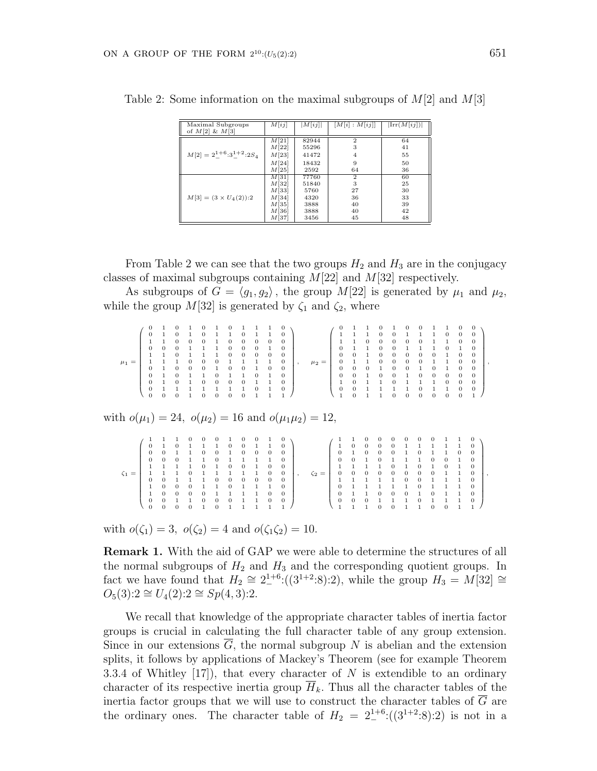| Maximal Subgroups<br>of $M[2] \& M[3]$    | M[ij] | M[ij] | $\lfloor M[i] : M[ij] \rfloor$ | $\left \text{Irr}(M[ij])\right $ |
|-------------------------------------------|-------|-------|--------------------------------|----------------------------------|
|                                           | M[21] | 82944 | $\mathbf{2}$                   | 64                               |
|                                           | M[22] | 55296 | 3                              | 41                               |
| $M[2] = 2^{1+6} \cdot 3^{1+2} \cdot 2S_4$ | M[23] | 41472 | 4                              | 55                               |
|                                           | M[24] | 18432 | 9                              | 50                               |
|                                           | M[25] | 2592  | 64                             | 36                               |
|                                           | M[31] | 77760 | $\mathbf{2}$                   | 60                               |
|                                           | M[32] | 51840 | 3                              | 25                               |
|                                           | M[33] | 5760  | 27                             | 30                               |
| $M[3] = (3 \times U_4(2))$ :2             | M[34] | 4320  | 36                             | 33                               |
|                                           | M[35] | 3888  | 40                             | 39                               |
|                                           | M[36] | 3888  | 40                             | 42                               |
|                                           | M[37] | 3456  | 45                             | 48                               |

Table 2: Some information on the maximal subgroups of *M*[2] and *M*[3]

From Table 2 we can see that the two groups  $H_2$  and  $H_3$  are in the conjugacy classes of maximal subgroups containing *M*[22] and *M*[32] respectively.

As subgroups of  $G = \langle g_1, g_2 \rangle$ , the group  $M[22]$  is generated by  $\mu_1$  and  $\mu_2$ , while the group  $M[32]$  is generated by  $\zeta_1$  and  $\zeta_2$ , where

| $\mu_1 =$                                                          | $\begin{matrix} 0 \\ 0 \\ 0 \\ 0 \end{matrix}$<br>$\overline{0}$                                                              | $\Omega$                            | $\Omega$                                                                                                                                                                                                                                                | $\begin{array}{cccc} 1 & 0 & \\ 1 & 0 & 0 \\ 0 & 0 & 1 \\ 1 & 1 & 1 \\ 0 & 0 & 0 \\ 0 & 0 & 1 \\ 1 & 1 & 0 \\ 1 & 1 & 1 \\ \end{array}$<br>$\mathbf{1}$ | $\Omega$                                            | $\begin{array}{ccc} 1 & 1 \\ 1 & 1 \\ 1 & 0 \\ 0 & 1 \\ 0 & 0 \\ 0 & 1 \end{array}$<br>$\Omega$                                                 | $\,1$<br>$\begin{smallmatrix}0\\0\\0\\0\\1\end{smallmatrix}$<br>$\begin{smallmatrix}0\\1\\0\\1\end{smallmatrix}$<br>$\Omega$ | $\boldsymbol{0}$<br>$\begin{smallmatrix}0\\0\\0\end{smallmatrix}$<br>$\begin{array}{c} 0 \\ 1 \\ 0 \\ 1 \\ 0 \\ 1 \end{array}$<br>$\Omega$ | $\begin{smallmatrix}1\0\0\0\end{smallmatrix}$<br>$\,0\,$<br>$\begin{array}{c} 1\\ 1\\ 0\\ 1\\ 0 \end{array}$<br>$\mathbf{1}$           | $\begin{smallmatrix}0\\1\end{smallmatrix}$<br>$\,0\,$<br>$\,1$<br>$\mathbf{0}$<br>$1\,$<br>$\,1\,$<br>$\begin{smallmatrix}1\\1\end{smallmatrix}$ | 0<br>$\begin{matrix} 0 \\ 0 \\ 0 \end{matrix}$<br>$\,0\,$<br>$\boldsymbol{0}$<br>$\overline{0}$<br>$\mathbf{0}$<br>$\overline{0}$<br>$\begin{smallmatrix}0\\1\end{smallmatrix}$ | $\cdot$                  | $\mu_2 =$   |                                  | $\begin{array}{cccccc} 0 & 1 & 1 & 0 & 1 \\ 1 & 1 & 1 & 0 & 0 \\ 1 & 1 & 0 & 0 & 0 \\ 0 & 1 & 1 & 0 & 0 \\ 0 & 0 & 1 & 0 & 0 \\ 0 & 1 & 1 & 0 & 0 \\ 0 & 0 & 0 & 1 & 0 \\ 0 & 0 & 1 & 0 & 0 \\ 1 & 0 & 1 & 1 & 0 \\ 0 & 0 & 1 & 1 & 1 \\ 1 & 0 & 1 & 1 & 0 \end{array}$                                                    |                                |                                    |                                                            | $\begin{bmatrix} 1 & 0 \\ 0 & 1 \\ 0 & 0 \\ 0 & 1 \\ 1 & 1 \end{bmatrix}$<br>$\Omega$ | $\begin{smallmatrix}0\\1\\0\end{smallmatrix}$<br>$\,0\,$<br>$\begin{smallmatrix}1\\0\\1\\0\end{smallmatrix}$<br>$\Omega$                       | $\begin{smallmatrix}1\\1\end{smallmatrix}$<br>$\,0\,$<br>$1\,$<br>$\mathbf{0}$<br>$\overline{0}$<br>$\mathbf{1}^-$<br>$\,1\,$<br>$\Omega$ | $\mathbf{0}$<br>$\mathbf{0}$<br>$\,1$<br>$1\,$<br>$\mathbf{0}$<br>$\boldsymbol{0}$<br>$\,1$<br>$\theta$      | 0<br>$\mathbf{0}$<br>0<br>$\theta$<br>0<br>$\boldsymbol{0}$<br>$\Omega$ | 0<br>$\boldsymbol{0}$<br>$\mathbf{0}$<br>$\Omega$<br>0<br>0<br>$\begin{smallmatrix}0\\1\end{smallmatrix}$                                        | $\,$ |
|--------------------------------------------------------------------|-------------------------------------------------------------------------------------------------------------------------------|-------------------------------------|---------------------------------------------------------------------------------------------------------------------------------------------------------------------------------------------------------------------------------------------------------|---------------------------------------------------------------------------------------------------------------------------------------------------------|-----------------------------------------------------|-------------------------------------------------------------------------------------------------------------------------------------------------|------------------------------------------------------------------------------------------------------------------------------|--------------------------------------------------------------------------------------------------------------------------------------------|----------------------------------------------------------------------------------------------------------------------------------------|--------------------------------------------------------------------------------------------------------------------------------------------------|---------------------------------------------------------------------------------------------------------------------------------------------------------------------------------|--------------------------|-------------|----------------------------------|----------------------------------------------------------------------------------------------------------------------------------------------------------------------------------------------------------------------------------------------------------------------------------------------------------------------------|--------------------------------|------------------------------------|------------------------------------------------------------|---------------------------------------------------------------------------------------|------------------------------------------------------------------------------------------------------------------------------------------------|-------------------------------------------------------------------------------------------------------------------------------------------|--------------------------------------------------------------------------------------------------------------|-------------------------------------------------------------------------|--------------------------------------------------------------------------------------------------------------------------------------------------|------|
| with $o(\mu_1) = 24$ , $o(\mu_2) = 16$ and $o(\mu_1 \mu_2) = 12$ , |                                                                                                                               |                                     |                                                                                                                                                                                                                                                         |                                                                                                                                                         |                                                     |                                                                                                                                                 |                                                                                                                              |                                                                                                                                            |                                                                                                                                        |                                                                                                                                                  |                                                                                                                                                                                 |                          |             |                                  |                                                                                                                                                                                                                                                                                                                            |                                |                                    |                                                            |                                                                                       |                                                                                                                                                |                                                                                                                                           |                                                                                                              |                                                                         |                                                                                                                                                  |      |
| $\zeta_1 =$                                                        | $\begin{smallmatrix}0\\0\\0\\0\\1\end{smallmatrix}$<br>$\begin{smallmatrix}1\\0\end{smallmatrix}$<br>$\Omega$<br>$\mathbf{0}$ | $\,0$<br>$\Omega$<br>$\overline{0}$ | $\begin{array}{cccc} 1 & 1 & 0 & 0 \\ 1 & 0 & 1 & 1 \\ 0 & 1 & 1 & 0 \\ 0 & 0 & 1 & 1 \\ 1 & 1 & 0 & 1 \\ 1 & 1 & 0 & 1 \\ 0 & 1 & 1 & 1 \\ 0 & 0 & 0 & 1 \\ 0 & 0 & 0 & 1 \\ \end{array}$<br>$\begin{smallmatrix}0\\1\end{smallmatrix}$<br>$\mathbf 0$ | $\theta$<br>$\mathbf{1}$<br>$\overline{0}$                                                                                                              | $\boldsymbol{0}$<br>$\boldsymbol{0}$<br>$\mathbf 1$ | $\begin{array}{cccc} 0 & 1 & 0 \ 1 & 0 & 1 \ 0 & 1 & 1 \ 1 & 0 & 1 \ 0 & 0 & 1 \end{array}$<br>$\mathbf{1}$<br>$\overline{0}$<br>$\overline{0}$ | $\,0\,$<br>$\,1\,$<br>$\Omega$<br>1                                                                                          | $\begin{matrix}0\\0\\1\\0\end{matrix}$<br>$\mathbf 1$<br>$\,0\,$<br>$\mathbf 1$<br>$\,1$<br>$\,1\,$<br>$\mathbf{1}$                        | $\begin{bmatrix} 0 & 1 \\ 1 & 0 \\ 1 & 1 \end{bmatrix}$<br>$\,1$<br>$\boldsymbol{0}$<br>$\mathbf{1}$<br>$\,1$<br>$\,1$<br>$\mathbf{1}$ | $\begin{array}{c} 1\\1\\0\\1\\0 \end{array}$<br>$\overline{0}$<br>$\mathbf{0}$<br>$\mathbf{1}$<br>$\theta$<br>$\mathbf{0}$                       | $\mathbf{0}$<br>$\begin{smallmatrix}0\\0\\0\\0\\0\end{smallmatrix}$<br>$\begin{matrix} 0 \\ 0 \end{matrix}$<br>$\mathbf{0}$<br>$\mathbf{0}$<br>$\mathbf{0}$                     | $\overline{\phantom{a}}$ | $\zeta_2 =$ | $\overline{0}$<br>$\overline{0}$ | $\begin{array}{cccccccc} 1&1&0&0&0&0&0\\ 1&0&0&0&0&1\\ 0&1&0&0&0&1\\ 0&0&1&0&1&1\\ 1&1&1&0&1\\ 1&1&1&1&0&1\\ 0&1&1&1&1&0\\ 0&1&1&1&1&1\\ 0&1&1&1&1&1\\ 0&1&1&1&1&1\\ 0&1&1&1&1&1\\ 0&1&1&1&1&1\\ 0&1&1&1&1&1\\ 0&1&1&1&1&1\\ 0&1&1&1&1&1\\ 0&1&1&1&1&1\\ 0&1$<br>$\begin{smallmatrix}1\0\end{smallmatrix}$<br>$\mathbf{1}$ | $\overline{0}$<br>$\mathbf{1}$ | $\,0\,$<br>$\,1\,$<br>$\mathbf{0}$ | $\begin{smallmatrix}0\\1\end{smallmatrix}$<br>$\mathbf{0}$ | $\boldsymbol{0}$<br>$\mathbf{1}$<br>$\,1$                                             | $\begin{smallmatrix}0\\1\\0\end{smallmatrix}$<br>$\boldsymbol{0}$<br>$\mathbf{0}$<br>$\theta$<br>$\mathbf 1$<br>$\overline{0}$<br>$\mathbf{1}$ | $\begin{smallmatrix}1\\0\\1\end{smallmatrix}$<br>$\boldsymbol{0}$<br>$\bf{0}$<br>$\mathbf{1}$<br>$\mathbf{0}$                             | $\begin{smallmatrix}1\\0\end{smallmatrix}$<br>$\boldsymbol{0}$<br>$\mathbf 1$<br>$\mathbf 1$<br>$\mathbf{0}$ | $\,1\,$<br>1<br>-1<br>1<br>$\mathbf{1}$                                 | $\overline{0}$<br>$\overline{0}$<br>$\mathbf{0}$<br>$\boldsymbol{0}$<br>$\mathbf{0}$<br>$\Omega$<br>$\mathbf{0}$<br>$\mathbf{0}$<br>$\mathbf{0}$ |      |

with  $o(\zeta_1) = 3$ ,  $o(\zeta_2) = 4$  and  $o(\zeta_1 \zeta_2) = 10$ .

**Remark 1.** With the aid of GAP we were able to determine the structures of all the normal subgroups of  $H_2$  and  $H_3$  and the corresponding quotient groups. In fact we have found that  $H_2 \cong 2^{1+6}$  ((3<sup>1+2</sup>:8):2), while the group  $H_3 = M[32] \cong$ *O*5(3):2 *∼*= *U*4(2):2 *∼*= *Sp*(4*,* 3):2*.*

We recall that knowledge of the appropriate character tables of inertia factor groups is crucial in calculating the full character table of any group extension. Since in our extensions  $\overline{G}$ , the normal subgroup *N* is abelian and the extension splits, it follows by applications of Mackey's Theorem (see for example Theorem 3.3.4 of Whitley [17]), that every character of *N* is extendible to an ordinary character of its respective inertia group  $\overline{H}_k$ . Thus all the character tables of the inertia factor groups that we will use to construct the character tables of  $\overline{G}$  are the ordinary ones. The character table of  $H_2 = 2^{1+6}$  ( $(3^{1+2} \cdot 8) \cdot 2$ ) is not in a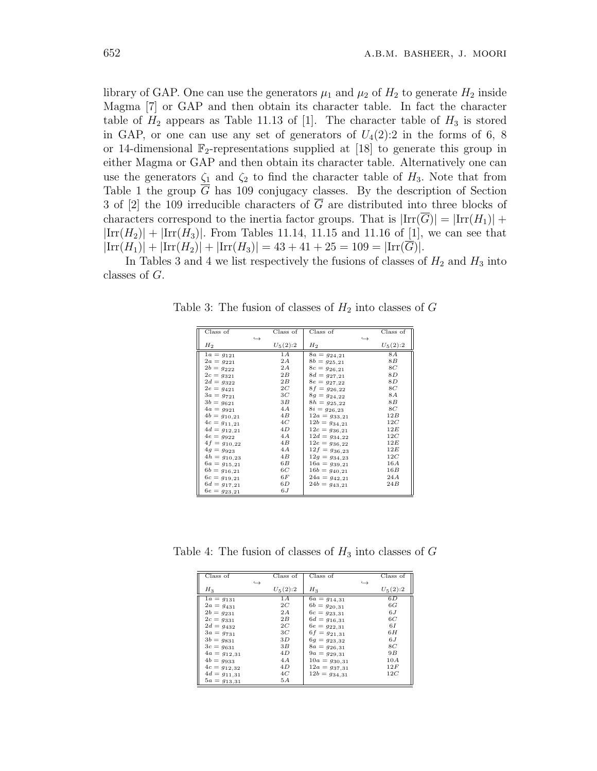library of GAP. One can use the generators  $\mu_1$  and  $\mu_2$  of  $H_2$  to generate  $H_2$  inside Magma [7] or GAP and then obtain its character table. In fact the character table of  $H_2$  appears as Table 11.13 of [1]. The character table of  $H_3$  is stored in GAP, or one can use any set of generators of  $U_4(2)$ :2 in the forms of 6, 8 or 14-dimensional  $\mathbb{F}_2$ -representations supplied at [18] to generate this group in either Magma or GAP and then obtain its character table. Alternatively one can use the generators  $\zeta_1$  and  $\zeta_2$  to find the character table of  $H_3$ . Note that from Table 1 the group  $\overline{G}$  has 109 conjugacy classes. By the description of Section 3 of [2] the 109 irreducible characters of  $\overline{G}$  are distributed into three blocks of characters correspond to the inertia factor groups. That is  $|{\rm Irr}(\overline{G})| = |{\rm Irr}(H_1)| +$  $|Irr(H_2)| + |Irr(H_3)|$ . From Tables 11.14, 11.15 and 11.16 of [1], we can see that  $|Irr(H_1)| + |Irr(H_2)| + |Irr(H_3)| = 43 + 41 + 25 = 109 = |Irr(G)|$ .

In Tables 3 and 4 we list respectively the fusions of classes of  $H_2$  and  $H_3$  into classes of *G.*

| Class of         |                   | Class of    | Class of          |                   | Class of    |
|------------------|-------------------|-------------|-------------------|-------------------|-------------|
|                  | $\hookrightarrow$ |             |                   | $\hookrightarrow$ |             |
| $H_{2}$          |                   | $U_5(2)$ :2 | $H_2$             |                   | $U_5(2)$ :2 |
| $1a = g_{121}$   |                   | 1A          | $8a = g_{24,21}$  |                   | <b>8A</b>   |
| $2a = g_{221}$   |                   | 2A          | $8b = g_{25,21}$  |                   | 8B          |
| $2b = g_{222}$   |                   | 2A          | $8c = g_{26,21}$  |                   | 8C          |
| $2c = g_{321}$   |                   | 2B          | $8d = g_{27,21}$  |                   | 8 D         |
| $2d = g_{322}$   |                   | 2B          | $8e = g_{27,22}$  |                   | 8D          |
| $2e = g_{421}$   |                   | 2C          | $8f = g_{26,22}$  |                   | 8C          |
| $3a = g_{721}$   |                   | 3C          | $8g = g_{24,22}$  |                   | <b>8A</b>   |
| $3b = g_{621}$   |                   | 3B          | $8h = g_{25,22}$  |                   | 8B          |
| $4a = g_{921}$   |                   | 4A          | $8i = g_{26,23}$  |                   | 8C          |
| $4b = g_{10,21}$ |                   | 4B          | $12a = g_{33,21}$ |                   | 12B         |
| $4c = g_{11,21}$ |                   | 4C          | $12b = g_{34,21}$ |                   | 12C         |
| $4d = g_{12,21}$ |                   | 4D          | $12c = g_{36,21}$ |                   | 12E         |
| $4e = g_{922}$   |                   | 4A          | $12d = g_{34,22}$ |                   | 12C         |
| $4f = g_{10,22}$ |                   | 4B          | $12e = g_{36,22}$ |                   | 12E         |
| $4g = g_{923}$   |                   | 4A          | $12f = g_{36,23}$ |                   | 12E         |
| $4h = g_{10,23}$ |                   | 4B          | $12g = g_{34,23}$ |                   | 12C         |
| $6a = g_{15,21}$ |                   | 6 B         | $16a = g_{39,21}$ |                   | 16A         |
| $6b = g_{16,21}$ |                   | 6C          | $16b = g_{40,21}$ |                   | 16B         |
| $6c = g_{19,21}$ |                   | 6F          | $24a = g_{42,21}$ |                   | 24A         |
| $6d = g_{17,21}$ |                   | 6 D         | $24b = g_{43,21}$ |                   | 24B         |
| $6e = g_{23,21}$ |                   | 6.J         |                   |                   |             |

Table 3: The fusion of classes of  $H_2$  into classes of  $G$ 

Table 4: The fusion of classes of  $H_3$  into classes of  $G$ 

| Class of                  |                   | Class of   | Class of               |                   | Class of   |
|---------------------------|-------------------|------------|------------------------|-------------------|------------|
|                           | $\hookrightarrow$ |            |                        | $\hookrightarrow$ |            |
| $H_3$                     |                   | $U_5(2):2$ | $H_3$                  |                   | $U_5(2):2$ |
| $\overline{1a} = g_{131}$ |                   | 1A         | $\bar{6}a = g_{14,31}$ |                   | 6D         |
| $2a = g_{431}$            |                   | 2C         | $6b = g_{20,31}$       |                   | 6G         |
| $2b = g_{231}$            |                   | 2A         | $6c = g_{23,31}$       |                   | 6J         |
| $2c = g_{331}$            |                   | 2B         | $6d = g_{16,31}$       |                   | 6C         |
| $2d = g_{432}$            |                   | 2C         | $6e = g_{22,31}$       |                   | 6I         |
| $3a = g_{731}$            |                   | 3C         | $6f = g_{21,31}$       |                   | 6H         |
| $3b = g_{831}$            |                   | 3D         | $6g = g_{23,32}$       |                   | 6J         |
| $3c = g_{631}$            |                   | 3B         | $8a = g_{26,31}$       |                   | 8C         |
| $4a = g_{12,31}$          |                   | 4D         | $9a = g_{29,31}$       |                   | 9B         |
| $4b = g_{933}$            |                   | 4A         | $10a = g_{30,31}$      |                   | 10A        |
| $4c = g_{12,32}$          |                   | 4D         | $12a = g_{37,31}$      |                   | 12F        |
| $4d = g_{11,31}$          |                   | 4C         | $12b = g_{34,31}$      |                   | 12C        |
| $5a = g_{13,31}$          |                   | 5A         |                        |                   |            |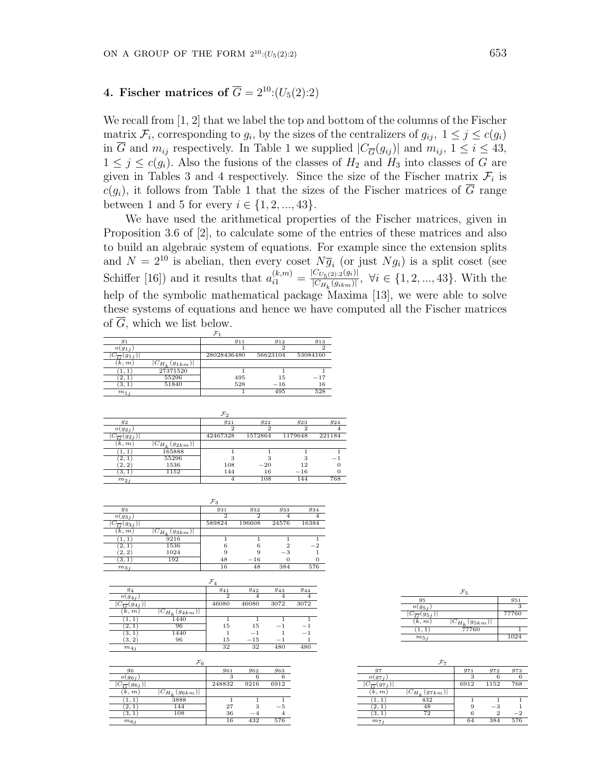# **4. Fischer matrices of**  $\overline{G} = 2^{10}$ :( $U_5(2)$ :2)

We recall from [1, 2] that we label the top and bottom of the columns of the Fischer matrix  $\mathcal{F}_i$ , corresponding to  $g_i$ , by the sizes of the centralizers of  $g_{ij}$ ,  $1 \leq j \leq c(g_i)$ in  $\overline{G}$  and  $m_{ij}$  respectively. In Table 1 we supplied  $|C_{\overline{G}}(g_{ij})|$  and  $m_{ij}$ ,  $1 \leq i \leq 43$ ,  $1 \leq j \leq c(g_i)$ . Also the fusions of the classes of  $H_2$  and  $H_3$  into classes of *G* are given in Tables 3 and 4 respectively. Since the size of the Fischer matrix  $\mathcal{F}_i$  is  $c(g_i)$ , it follows from Table 1 that the sizes of the Fischer matrices of  $\overline{G}$  range between 1 and 5 for every  $i \in \{1, 2, ..., 43\}$ .

We have used the arithmetical properties of the Fischer matrices, given in Proposition 3.6 of [2], to calculate some of the entries of these matrices and also to build an algebraic system of equations. For example since the extension splits and  $N = 2^{10}$  is abelian, then every coset  $N\overline{g}_i$  (or just  $Ng_i$ ) is a split coset (see Schiffer [16]) and it results that  $a_{i1}^{(k,m)} = \frac{|C_{U_5(2):2}(g_i)|}{|C_{H_1}(g_{ikm})|}$  $\frac{|U_{U_{5}(2):2}(y_{i})|}{|C_{H_{k}}(g_{ikm})|}, \forall i \in \{1, 2, ..., 43\}.$  With the help of the symbolic mathematical package Maxima [13], we were able to solve these systems of equations and hence we have computed all the Fischer matrices of *G,* which we list below.

| $g_1$                         |                      | 911         | 912      | 913      |
|-------------------------------|----------------------|-------------|----------|----------|
| $o(g_{1i})$                   |                      |             |          |          |
| $\cup_{\overline{C}}(g_{1j})$ |                      | 28028436480 | 56623104 | 53084160 |
| [k, m]                        | $ C_{H_k}(g_{1km}) $ |             |          |          |
|                               | 27371520             |             |          |          |
| 2,                            | 55296                | 495         | 15       | $-17$    |
| 3, 1                          | 51840                | 528         | $-16$    | 16       |
| $m_{1,i}$                     |                      |             | 495      | 528      |

| 92                  |                                  | 921      | 922     | 923     | 924    |
|---------------------|----------------------------------|----------|---------|---------|--------|
| $o(g_{2i})$         |                                  | 2        |         | 2       |        |
| $\overline{G}(92j)$ |                                  | 42467328 | 1572864 | 1179648 | 221184 |
| [k, m]              | $ C_{H_k}(\underline{g_{2km}}) $ |          |         |         |        |
|                     | 165888                           |          |         |         |        |
| 2,1                 | 55296                            | 3        |         | З       | - 1    |
| [2, 2]              | 1536                             | 108      | $-20$   | 12      |        |
| 3, 1                | 1152                             | 144      | 16      | $-16$   |        |
| $m_{2i}$            |                                  |          | 108     | 144     | 768    |

| 93                           |                      | 931            | 932            | 933     | 934   |
|------------------------------|----------------------|----------------|----------------|---------|-------|
| $o(g_{3i})$                  |                      | $\overline{2}$ | $\overline{2}$ |         |       |
| $ C_{\overline{G}}(g_{3j}) $ |                      | 589824         | 196608         | 24576   | 16384 |
| (k, m)                       | $ C_{H_k}(g_{3km}) $ |                |                |         |       |
|                              | 9216                 |                |                |         |       |
| [2,1]                        | 1536                 |                | 6              |         | $-2$  |
| (2, 2)                       | 1024                 |                |                | $^{-3}$ |       |
| (3,1)                        | 192                  | 48             | $-16$          |         |       |
| $m_{3i}$                     |                      | 16             | 48             | 384     | 576   |

|                              |                      | $\mathcal{F}_4$ |       |      |      |
|------------------------------|----------------------|-----------------|-------|------|------|
| 94                           |                      | 941             | 942   | 943  | 944  |
| $o(g_{4j})$                  |                      | 2               | 4     |      |      |
| $ C_{\overline{G}}(g_{4j}) $ |                      | 46080           | 46080 | 3072 | 3072 |
| (k, m)                       | $ C_{H_k}(g_{4km}) $ |                 |       |      |      |
|                              | 1440                 |                 |       |      |      |
| 2.1                          | 96                   | 15              | 15    | - 1  |      |
| 3,1                          | 1440                 |                 | $-1$  |      | - 1  |
| (3, 2)                       | 96                   | 15              | $-15$ | -    |      |
| $m_{4,i}$                    |                      | 32              | 32    | 480  | 480  |

|                              | $\mathcal{F}_6$      |        |      |      |
|------------------------------|----------------------|--------|------|------|
| 96                           |                      | 961    | 962  | 963  |
| $o(g_{6j})$                  |                      | З      | 6    |      |
| $ C_{\overline{G}}(g_{6j}) $ |                      | 248832 | 9216 | 6912 |
| (k,m)                        | $ C_{H_k}(g_{6km}) $ |        |      |      |
|                              | 3888                 |        |      |      |
| 2,                           | 144                  | 27     |      | -5   |
|                              | 108                  | 36     | $-4$ |      |
| $m_{6i}$                     |                      | 16     | 432  | 576  |

| 95                           |                      | 951   |
|------------------------------|----------------------|-------|
| $o(g_{5i})$                  |                      |       |
| $ C_{\overline{G}}(g_{5j}) $ |                      | 77760 |
| (k, m)                       | $ C_{H_k}(g_{5km}) $ |       |
| (1, 1)                       | 77760                |       |
| $m_{5i}$                     |                      | 1024  |

| 97                           |                      | 971  | 972  | 973     |
|------------------------------|----------------------|------|------|---------|
| $O(g_{7i})$                  |                      | 3    |      |         |
| $ C_{\overline{G}}(g_{7j}) $ |                      | 6912 | 1152 | 768     |
| (k, m)                       | $ C_{H_k}(g_{7km}) $ |      |      |         |
| 1.1                          | 432                  |      |      |         |
| 2.                           | 48                   | 9    | -3   |         |
| 3, 1                         | 72                   | 6    |      | $^{-2}$ |
| $m_{7,i}$                    |                      | 64   | 384  | 576     |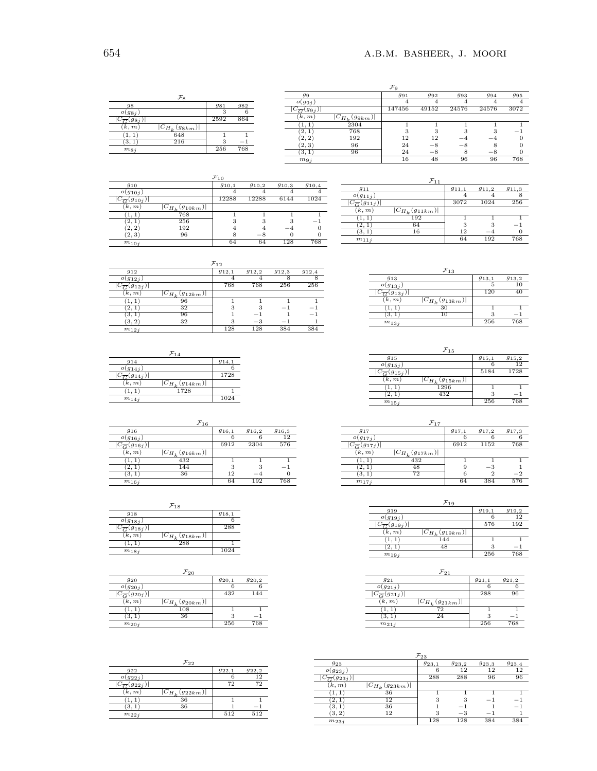|                            |                      |      |        |                             |                      | $\mathcal{F}_\mathbf{q}$ |           |          |       |      |
|----------------------------|----------------------|------|--------|-----------------------------|----------------------|--------------------------|-----------|----------|-------|------|
|                            | $\mathcal{F}_8$      |      |        | 99                          |                      | 991                      | 992       | 993      | 994   | 995  |
| 98                         |                      | 981  | 982    | $o(g_{9j})$                 |                      |                          | 4         |          |       |      |
| $O(g_{8i})$                |                      |      |        | $\sqrt{\overline{G}}(gg_j)$ |                      | 147456                   | 49152     | 24576    | 24576 | 3072 |
| $C_{\overline{G}}(g_{8j})$ |                      | 2592 | 864    | (k, m)                      | $ C_{H_k}(g_{9km}) $ |                          |           |          |       |      |
| (k, m)                     | $ C_{H_L}(g_{8km}) $ |      |        | $\perp$ , $\perp$           | 2304                 |                          |           |          |       |      |
|                            | 648                  |      |        | (2, 1)                      | 768                  | $\Omega$                 |           | $\Omega$ |       | -    |
| 1, 1                       |                      |      |        | (2, 2)                      | 192                  | 12                       | 12        | $-4$     | $-4$  |      |
| (3,1)                      | 216                  | 3    | $\sim$ | (2, 3)                      | 96                   | 24                       | $-\times$ | $-8$     |       |      |
| $m_{8,i}$                  |                      | 256  | 768    | (3.<br>л.                   | 96                   | 24                       | — გ       |          | $-8$  |      |
|                            |                      |      |        | $m_{9j}$                    |                      | 16                       | 48        | 96       | 96    | 768  |

|                             |                       | $\mathcal{F}_{10}$ |         |       |       |
|-----------------------------|-----------------------|--------------------|---------|-------|-------|
| 910                         |                       | 910,1              | 910.2   | 910.3 | 910,4 |
| $o(g_{10j})$                |                       |                    |         |       |       |
| $C_{\overline{G}}(g_{10j})$ |                       | 12288              | 12288   | 6144  | 1024  |
| (k, m)                      | $ C_{H_k}(g_{10km}) $ |                    |         |       |       |
|                             | 768                   |                    |         |       |       |
| 2, 1                        | 256                   | 3                  | 3       |       | —     |
| (2, 2)                      | 192                   | 4                  |         | $-4$  |       |
| (2, 3)                      | 96                    | 8                  | $^{-8}$ |       |       |
| $m_{10j}$                   |                       | 64                 | 64      | 128   | 768   |

| 911       |           |                       | 911,1 | 911,2 | 911.3                    |
|-----------|-----------|-----------------------|-------|-------|--------------------------|
| $\sigma$  | $g_{11j}$ |                       |       |       |                          |
|           |           |                       | 3072  | 1024  | 256                      |
| k, m      |           | $ C_{H_k}(g_{11km}) $ |       |       |                          |
|           |           | 192                   |       |       |                          |
|           |           | 64                    | 3     |       | $\overline{\phantom{0}}$ |
| 3.        |           | 16                    | 12    |       |                          |
| $m_{11j}$ |           |                       | 64    | 192   | 768                      |

|                               |                       | $\mathcal{F}_{12}$ |       |       |       |
|-------------------------------|-----------------------|--------------------|-------|-------|-------|
| 912                           |                       | 912,1              | 912,2 | 912.3 | 912,4 |
| $o(g_{12j})$                  |                       |                    |       |       |       |
| $ C_{\overline{G}}(g_{12j}) $ |                       | 768                | 768   | 256   | 256   |
| (k, m)                        | $ C_{H_k}(g_{12km}) $ |                    |       |       |       |
| $\perp$ .                     | 96                    |                    |       |       |       |
| 2.                            | 32                    | 3                  |       |       |       |
| 3.1                           | 96                    |                    | $-$   |       | - 1   |
| (3, 2)                        | 32                    | 3                  | $-3$  | -     |       |
| $m_{12j}$                     |                       | 128                | 128   | 384   | 384   |

|                               | $\mathcal{F}_{1.4}$   |       |
|-------------------------------|-----------------------|-------|
| 914                           |                       | 914,1 |
| $o(g_{14j})$                  |                       |       |
| $ C_{\overline{G}}(g_{14j}) $ |                       | 1728  |
| (k, m)                        | $ C_{H_k}(g_{14km}) $ |       |
| (1, 1)                        | 1728                  |       |
| $m_{14j}$                     |                       | 1024  |

|                               | $\mathcal{F}_{16}$    |       |       |          |
|-------------------------------|-----------------------|-------|-------|----------|
| 916                           |                       | 916,1 | 916,2 | 916.3    |
| $o(g_{16j})$                  |                       | 6     | 6     | 12       |
| $ C_{\overline{G}}(g_{16j}) $ |                       | 6912  | 2304  | 576      |
| (k, m)                        | $ C_{H_k}(g_{16km}) $ |       |       |          |
| 1,1                           | 432                   |       |       |          |
| 2, 1                          | 144                   | 3     | 3     | - 1      |
| (3,1)                         | 36                    | 12    | $-4$  | $\theta$ |
| $m_{16j}$                     |                       | 64    | 192   | 768      |

|                               | $\mathcal{F}_{18}$    |       |
|-------------------------------|-----------------------|-------|
| 918                           |                       | 918,1 |
| $o(g_{18j})$                  |                       |       |
| $ C_{\overline{G}}(g_{18j}) $ |                       | 288   |
| (k, m)                        | $ C_{H_k}(g_{18km}) $ |       |
| 1,1                           | 288                   |       |
| $m_{18j}$                     |                       | 1024  |

|                   | $\mathcal{F}_{20}$     |       |       |
|-------------------|------------------------|-------|-------|
| 920               |                        | 920,1 | 920,2 |
| $o(g_{20j})$      |                        |       |       |
| $(g_{20j})$       |                        | 432   | 144   |
| (k, m)            | $ C_{H_k} (g_{20km}) $ |       |       |
|                   | 108                    |       |       |
| $\left(3,\right)$ | 36                     | 3     | - 1   |
| $m_{20j}$         |                        | 256   | 768   |

|                                          | $\mathcal{F}_{22}$    |       |       |
|------------------------------------------|-----------------------|-------|-------|
| 922                                      |                       | 922,1 | 922,2 |
| $o(g_{22j})$                             |                       |       | 12    |
| $\overline{ C_{\overline{G}}(g_{22j}) }$ |                       | 72    | 72    |
| (k, m)                                   | $ C_{H_k}(g_{22km}) $ |       |       |
|                                          | 36                    |       |       |
| З.                                       | 36                    |       | - 1   |
| $m_{22i}$                                |                       | 512   | 512   |

| $\mathcal{F}_{13}$              |       |       |
|---------------------------------|-------|-------|
| 913                             | 913,1 | 913.2 |
| $o(g_{13j})$                    |       | 10    |
| 913i                            | 120   |       |
| (k, m)<br>$ C_{H_k}(g_{13km}) $ |       |       |
| 30                              |       |       |
|                                 | 3     | - 1   |
| $m_{13j}$                       | 256   | 768   |

| $\mathcal{F}_{15}$              |       |       |
|---------------------------------|-------|-------|
| 915                             | 915,1 | 915,2 |
| $o(g_{15i})$                    |       | 19    |
| $(g_{15j})$                     | 5184  | 1728  |
| (k, m)<br>$ C_{H_k}(g_{15km}) $ |       |       |
| 1296                            |       |       |
| 432                             | 3     | - 1   |
| $m_{15j}$                       | 256   | 768   |

|                              | $+17$                 |       |       |       |
|------------------------------|-----------------------|-------|-------|-------|
| 917                          |                       | 917,1 | 917.2 | 917.3 |
| $o(g_{17i})$                 |                       |       |       |       |
| $ C_{\overline{G}}(g_17_j) $ |                       | 6912  | 1152  | 768   |
| (k, m)                       | $ C_{H_k}(g_{17km}) $ |       |       |       |
|                              | 432                   |       |       |       |
| 2.                           | 48                    | 9     | $-3$  |       |
| ΄3.                          | 72                    |       |       |       |
| $m_{17i}$                    |                       | 64    | 384   | 576   |

|                               | $\mathcal{F}_{19}$    |       |       |
|-------------------------------|-----------------------|-------|-------|
| 919                           |                       | 919,1 | 919,2 |
| $o(g_{19j})$                  |                       | 6     | 12    |
| $ C_{\overline{G}}(g_{19j}) $ |                       | 576   | 192   |
| (k, m)                        | $ C_{H_k}(g_{19km}) $ |       |       |
| 1,1                           | 144                   |       |       |
| (2, 1)                        | 48                    | 3     | -     |
| $m_{19i}$                     |                       | 256   | 768   |

|              | $\mathcal{F}_{21}$    |       |       |
|--------------|-----------------------|-------|-------|
| 921          |                       | 921,1 | 921,2 |
| $o(g_{21i})$ |                       |       |       |
| $(g_{21j})$  |                       | 288   | 96    |
| (k, m)       | $ C_{H_k}(g_{21km}) $ |       |       |
|              | $7\overline{2}$       |       |       |
| 3, 1         | 24                    | З     |       |
| $m_{21j}$    |                       | 256   | 768   |

| $\mathcal{F}_{23}$ |                       |       |         |       |                          |  |
|--------------------|-----------------------|-------|---------|-------|--------------------------|--|
| 923                |                       | 923,1 | 923,2   | 923.3 | 923,4                    |  |
| $o(g_{23j})$       |                       |       | 12      | 12    | 12                       |  |
| $\sqrt{g_{23}}$    |                       | 288   | 288     | 96    | 96                       |  |
| (k, m)             | $ C_{H_k}(g_{23km}) $ |       |         |       |                          |  |
|                    | 36                    |       |         |       |                          |  |
| 2,                 | 12                    | 3     | 3       | -     | $\overline{\phantom{a}}$ |  |
| 3.                 | 36                    |       | -       |       | $-$                      |  |
| 3,2                | 12                    | 3     | $^{-3}$ | -     |                          |  |
| $m_{23j}$          |                       | 128   | 128     | 384   | 384                      |  |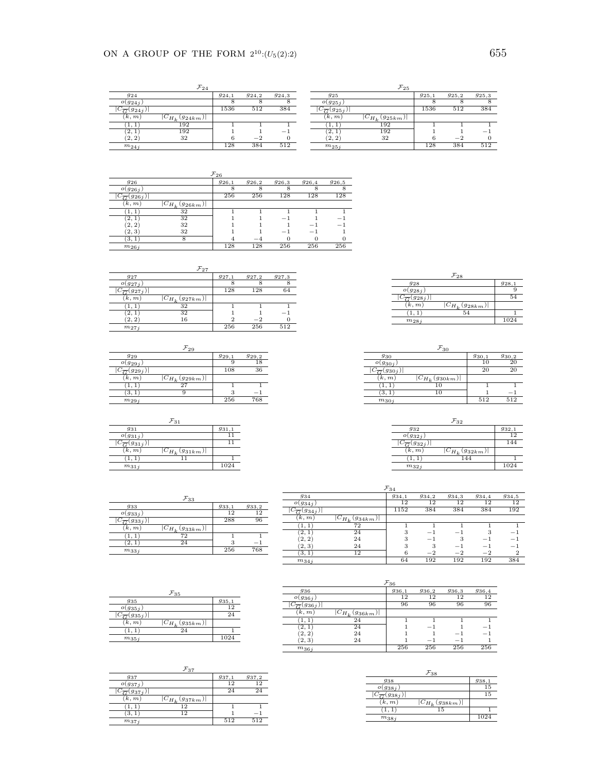|                               | $\mathcal{F}_{24}$    |       |         |       |
|-------------------------------|-----------------------|-------|---------|-------|
| 924                           |                       | 924,1 | 924,2   | 924.3 |
| $o(g_{24j})$                  |                       |       | σ,      |       |
| $ C_{\overline{G}}(g_{24j}) $ |                       | 1536  | 512     | 384   |
| (k, m)                        | $ C_{H_k}(g_{24km}) $ |       |         |       |
| 1, 1                          | 192                   |       |         |       |
| 2, 1                          | 192                   |       |         |       |
| 2, 2                          | 32                    |       | $^{-2}$ |       |
| $m_{24j}$                     |                       | 128   | 384     | 512   |

|                               | $\mathcal{F}_{25}$    |       |       |       |
|-------------------------------|-----------------------|-------|-------|-------|
| 925                           |                       | 925,1 | 925,2 | 925.3 |
| $o(g_{25j})$                  |                       |       |       |       |
| $ C_{\overline{G}}(g_{25j}) $ |                       | 1536  | 512   | 384   |
| (k,m)                         | $ C_{H_k}(g_{25km}) $ |       |       |       |
|                               | 192                   |       |       |       |
| 2,                            | 192                   |       |       | -     |
| 2, 2                          | 32                    | 6     | $-2$  |       |
| $m_{25j}$                     |                       | 128   | 384   | 512   |

| $r_{26}$        |                       |       |        |       |                          |       |  |
|-----------------|-----------------------|-------|--------|-------|--------------------------|-------|--|
| 926             |                       | 926,1 | 926, 2 | 926,3 | 926,4                    | 926.5 |  |
| $O(g_{26 i})$   |                       |       |        |       |                          | 8     |  |
| $\sqrt{7}(926)$ |                       | 256   | 256    | 128   | 128                      | 128   |  |
| k, m            | $ C_{H_k}(g_{26km}) $ |       |        |       |                          |       |  |
| (1, 1)          | 32                    |       |        |       |                          |       |  |
| 2,1             | 32                    |       |        | -     |                          |       |  |
| [2, 2]          | 32                    |       |        |       |                          | -     |  |
| (2, 3)          | 32                    |       |        | -     | $\overline{\phantom{0}}$ |       |  |
| [3, 1]          |                       |       | — 4    | 0     |                          | 0     |  |
| $m_{26j}$       |                       | 128   | 128    | 256   | 256                      | 256   |  |

*F*27

| - 41         |                        |       |            |            |
|--------------|------------------------|-------|------------|------------|
| $g_{27}$     |                        | 927,1 | $g_{27,2}$ | $g_{27,3}$ |
| $o(g_{27i})$ |                        |       |            |            |
| 927i         |                        | 128   | 128        | 64         |
| (k, m)       | $ C_{H_k} (g_{27km}) $ |       |            |            |
|              | 32                     |       |            |            |
| 2,           | 32                     |       |            |            |
| (2, 2)       | 16                     |       | $^{-2}$    |            |
| $m_{27i}$    |                        | 256   | 256        | 512        |

| 929          |                       | 929.1 | 929,2 |
|--------------|-----------------------|-------|-------|
| $o(g_{29j})$ |                       |       | 18    |
| $(g_{29j})$  |                       | 108   | 36    |
| (k, m)       | $ C_{H_k}(g_{29km}) $ |       |       |
|              | 27                    |       |       |
| З.           |                       | 3     |       |
| $m_{29j}$    |                       | 256   | 768   |

| 931                           | 931,1                 |
|-------------------------------|-----------------------|
| $o(g_{31j})$                  |                       |
| $ C_{\overline{G}}(g_{31j}) $ |                       |
| (k, m)                        | $ C_{H_k}(g_{31km}) $ |
| (1,1)                         |                       |
| $m_{31j}$                     | 1024                  |

| -28                             |       |
|---------------------------------|-------|
| 928                             | 928,1 |
| $o(g_{28j})$                    |       |
| $ C_{\overline{G}}(g_{28j}) $   | 54    |
| (k, m)<br>$ C_{H_k}(g_{28km}) $ |       |
| 54                              |       |
| $m_{28j}$                       | 1024  |
|                                 |       |

|              | $\mathcal{F}_{30}$    |       |       |
|--------------|-----------------------|-------|-------|
| 930          |                       | 930,1 | 930,2 |
| $o(g_{30j})$ |                       | 10    | 20    |
| $(g_{30j})$  |                       | 20    | 20    |
| (k, m)       | $ C_{H_k}(g_{30km}) $ |       |       |
|              | $1\overline{0}$       |       |       |
| 3. .         | 10                    |       | - 1   |
| $m_{30j}$    |                       | 512   | 512   |

|                               | $r_{32}$              |       |
|-------------------------------|-----------------------|-------|
| 932                           |                       | 932.1 |
| $o(g_{32 i})$                 |                       | 12    |
| $ C_{\overline{G}}(g_{32j}) $ |                       | 144   |
| (k, m)                        | $ C_{H_k}(g_{32km}) $ |       |
| (1, 1)                        | 144                   |       |
| $m_{32j}$                     |                       | 1024  |

|                               | $\mathcal{F}_{33}$    |       |       |
|-------------------------------|-----------------------|-------|-------|
| 933                           |                       | 933,1 | 933,2 |
| $o(g_{33j})$                  |                       | 12    | 12    |
| $ C_{\overline{G}}(g_{33j}) $ |                       | 288   | 96    |
| (k, m)                        | $ C_{H_k}(g_{33km}) $ |       |       |
|                               | 72                    |       |       |
| (2,                           | 24                    | 3     | -     |
| $m_{33j}$                     |                       | 256   | 768   |

| $\mathcal{F}_{34}$            |                       |       |       |       |       |                |
|-------------------------------|-----------------------|-------|-------|-------|-------|----------------|
| 934                           |                       | 934,1 | 934,2 | 934,3 | 934,4 | 934.5          |
| $O(g_{34}i)$                  |                       | 12    | 12    | 12    | 12    | 12             |
| $ C_{\overline{G}}(g_{34j}) $ |                       | 1152  | 384   | 384   | 384   | 192            |
| (k, m)                        | $ C_{H_k}(g_{34km}) $ |       |       |       |       |                |
| 1, 1)                         | 72                    |       |       |       |       |                |
| [2,1]                         | 24                    | 3     | - 1   | - 1   |       | - 1            |
| (2, 2)                        | 24                    | 3     | - 1   |       | -     | - 1            |
| (2, 3)                        | 24                    | 3     | 3     | $-1$  | -     | - 1            |
| (3, 1)                        | 12                    | 6     | $-2$  | $-2$  | $-2$  | $\overline{2}$ |
| $m_{34}$                      |                       | 64    | 192   | 192   | 192   | 384            |

|                               | $\mathcal{F}_{35}$    |       |
|-------------------------------|-----------------------|-------|
| 935                           |                       | 935,1 |
| $o(g_{35j})$                  |                       | 12    |
| $ C_{\overline{G}}(g_{35j}) $ |                       | 24    |
| (k, m)                        | $ C_{H_k}(g_{35km}) $ |       |
| (1.1)                         | 24                    |       |
| $m_{35j}$                     |                       | 1024  |

| $\mathcal{F}_{36}$            |                       |       |       |       |       |
|-------------------------------|-----------------------|-------|-------|-------|-------|
| 936                           |                       | 936,1 | 936,2 | 936,3 | 936,4 |
| $o(g_{36j})$                  |                       | 12    | 12    | 12    | 12    |
| $ C_{\overline{G}}(g_{36j}) $ |                       | 96    | 96    | 96    | 96    |
| (k,m)                         | $ C_{H_k}(g_{36km}) $ |       |       |       |       |
|                               | 24                    |       |       |       |       |
| 2,1                           | 24                    |       | - 1   |       | -     |
| 2, 2                          | 24                    |       |       |       | - 1   |
| (2, 3)                        | 24                    |       | - 1   | -     |       |
| $m_{36j}$                     |                       | 256   | 256   | 256   | 256   |

| 937                           |                       | 937,1 | 937,2 |
|-------------------------------|-----------------------|-------|-------|
| $o(g_{37})$                   |                       | 19    | 19    |
| $C_{\overline{G}}(g_{37j})$   |                       | 24    | 24    |
| $(\overline{k},\overline{m})$ | $ C_{H_k}(g_{37km}) $ |       |       |
| $\cdot 1, 1 \cdot$            | 12                    |       |       |
| З.                            | כי ו                  |       |       |
| $m_{37i}$                     |                       | 512   | 512   |

| 938                           |                       | 938,1 |
|-------------------------------|-----------------------|-------|
| $o(g_{38j})$                  |                       | 15    |
| $ C_{\overline{G}}(g_{38j}) $ |                       | 15    |
| (k,m)                         | $ C_{H_k}(g_{38km}) $ |       |
| (1, 1)                        | 15                    |       |
| $m_{38j}$                     |                       | 1024  |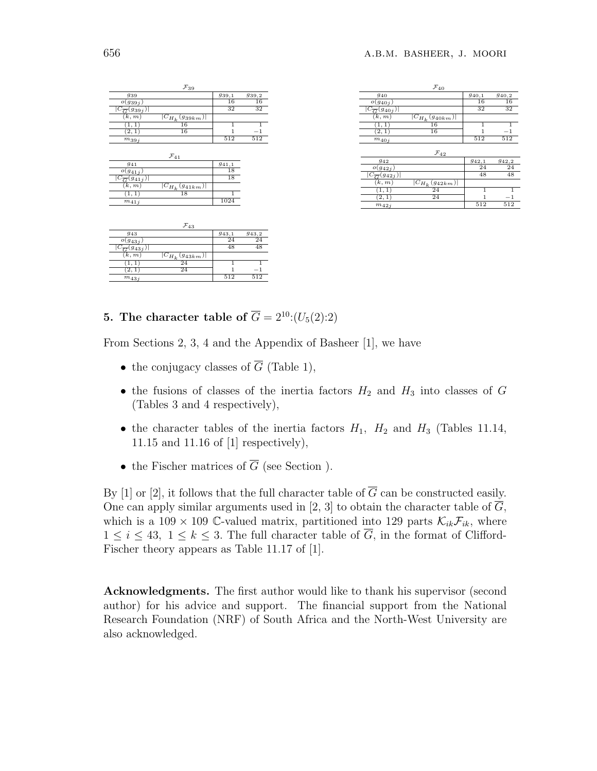| $\mathcal{F}_{39}$                          |                  |         |
|---------------------------------------------|------------------|---------|
| 939                                         | 939,1            | 939,2   |
| $o(g_{39j})$                                | 16               | 16      |
| $ C_{\overline{G}}(g_{39j}) $               | 32               | 32      |
| (k,m)<br>$ C_{H_k}(g_{39km}) $              |                  |         |
| 16<br>1, 1)                                 | $\overline{1}$   | 1       |
| $\overline{16}$<br>[2,1]                    | 1                | $^{-1}$ |
| $m_{39j}$                                   | $\overline{512}$ | 512     |
|                                             |                  |         |
| $\mathcal{F}_{41}$                          |                  |         |
| 941                                         | 941,1            |         |
| $o(g_{41j})$                                | 18               |         |
| $ C_{\overline{G}}(g_{41j}) $               | 18               |         |
| $\overline{(k,m)}$<br>$ C_{H_k}(g_{41km}) $ |                  |         |
| 18<br>(1, 1)                                | $\overline{1}$   |         |
| $m_{41,i}$                                  | 1024             |         |
|                                             |                  |         |
|                                             |                  |         |
| $\mathcal{F}_{43}$                          |                  |         |
| 943                                         | 943,1            | 943,2   |
| $o(g_{43j})$                                | 24               | 24      |
| $ C_{\overline{G}}(g_{43j}) $               | 48               | 48      |
| (k, m)<br>$ C_{H_k}(g_{43km}) $             |                  |         |
| 24<br>(1, 1)                                | 1                | 1       |
| $\overline{24}$<br>$\overline{2}, 1$        | 1                | $^{-1}$ |
| $m_{43j}$                                   | 512              | 512     |

|                                        | $\mathcal{F}_{40}$    |       |                 |
|----------------------------------------|-----------------------|-------|-----------------|
| 940                                    |                       | 940,1 | 940,2           |
| $o(g_{40j})$                           |                       | 16    | 16              |
| $ C_{\overline{G}}(g_{40j}) $          |                       | 32    | 32              |
| (k, m)                                 | $ C_{H_k}(g_{40km}) $ |       |                 |
| (1, 1)                                 | 16                    | 1     | 1               |
| (2,1)                                  | 16                    | 1     | $^{-1}$         |
| $m_{40j}$                              |                       | 512   | 512             |
|                                        | $\mathcal{F}_{42}$    |       |                 |
| 942                                    |                       | 942,1 | 942,2           |
| $o(g_{42i})$                           |                       | 24    | $\overline{24}$ |
| $\overline{C}_{\overline{G}}(g_{42j})$ |                       | 48    | 48              |
| $\overline{(k,m)}$                     | $ C_{H_k}(g_{42km}) $ |       |                 |
| (1, 1)                                 | 24                    | 1     | 1               |
| (2, 1)                                 | 24                    | 1     | $^{-1}$         |
| $m_{42j}$                              |                       | 512   | 512             |
|                                        |                       |       |                 |

**5.** The character table of  $\overline{G} = 2^{10}$ :( $U_5(2)$ :2)

From Sections 2, 3, 4 and the Appendix of Basheer [1], we have

- the conjugacy classes of  $\overline{G}$  (Table 1),
- the fusions of classes of the inertia factors  $H_2$  and  $H_3$  into classes of *G* (Tables 3 and 4 respectively),
- the character tables of the inertia factors  $H_1$ ,  $H_2$  and  $H_3$  (Tables 11.14, 11.15 and 11.16 of [1] respectively),
- the Fischer matrices of  $\overline{G}$  (see Section ).

By [1] or [2], it follows that the full character table of  $\overline{G}$  can be constructed easily. One can apply similar arguments used in [2, 3] to obtain the character table of  $\overline{G}$ , which is a 109  $\times$  109 C-valued matrix, partitioned into 129 parts  $\mathcal{K}_{ik}\mathcal{F}_{ik}$ , where  $1 \leq i \leq 43$ ,  $1 \leq k \leq 3$ . The full character table of  $\overline{G}$ , in the format of Clifford-Fischer theory appears as Table 11.17 of [1].

**Acknowledgments.** The first author would like to thank his supervisor (second author) for his advice and support. The financial support from the National Research Foundation (NRF) of South Africa and the North-West University are also acknowledged.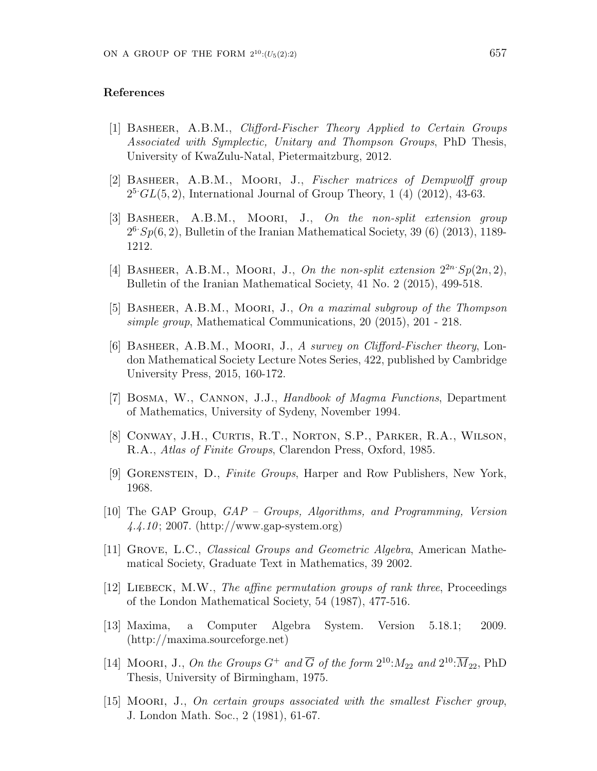#### **References**

- [1] Basheer, A.B.M., *Clifford-Fischer Theory Applied to Certain Groups Associated with Symplectic, Unitary and Thompson Groups*, PhD Thesis, University of KwaZulu-Natal, Pietermaitzburg, 2012.
- [2] Basheer, A.B.M., Moori, J., *Fischer matrices of Dempwolff group*  $2^5$ <sup>*GL*(5, 2)</sup>, International Journal of Group Theory, 1 (4) (2012), 43-63.
- [3] Basheer, A.B.M., Moori, J., *On the non-split extension group*  $2<sup>6</sup>$ *Sp*(6, 2), Bulletin of the Iranian Mathematical Society, 39 (6) (2013), 1189-1212.
- [4] BASHEER, A.B.M., MOORI, J., On the non-split extension  $2^{2n}$   $Sp(2n,2)$ , Bulletin of the Iranian Mathematical Society, 41 No. 2 (2015), 499-518.
- [5] Basheer, A.B.M., Moori, J., *On a maximal subgroup of the Thompson simple group*, Mathematical Communications, 20 (2015), 201 - 218.
- [6] Basheer, A.B.M., Moori, J., *A survey on Clifford-Fischer theory*, London Mathematical Society Lecture Notes Series, 422, published by Cambridge University Press, 2015, 160-172.
- [7] Bosma, W., Cannon, J.J., *Handbook of Magma Functions*, Department of Mathematics, University of Sydeny, November 1994.
- [8] Conway, J.H., Curtis, R.T., Norton, S.P., Parker, R.A., Wilson, R.A., *Atlas of Finite Groups*, Clarendon Press, Oxford, 1985.
- [9] Gorenstein, D., *Finite Groups*, Harper and Row Publishers, New York, 1968.
- [10] The GAP Group, *GAP Groups, Algorithms, and Programming, Version 4.4.10* ; 2007. (http://www.gap-system.org)
- [11] Grove, L.C., *Classical Groups and Geometric Algebra*, American Mathematical Society, Graduate Text in Mathematics, 39 2002.
- [12] Liebeck, M.W., *The affine permutation groups of rank three*, Proceedings of the London Mathematical Society, 54 (1987), 477-516.
- [13] Maxima, a Computer Algebra System. Version 5.18.1; 2009. (http://maxima.sourceforge.net)
- [14] MOORI, J., On the Groups  $G^+$  and  $\overline{G}$  of the form  $2^{10}$ : $M_{22}$  and  $2^{10}$ : $\overline{M}_{22}$ , PhD Thesis, University of Birmingham, 1975.
- [15] Moori, J., *On certain groups associated with the smallest Fischer group*, J. London Math. Soc., 2 (1981), 61-67.